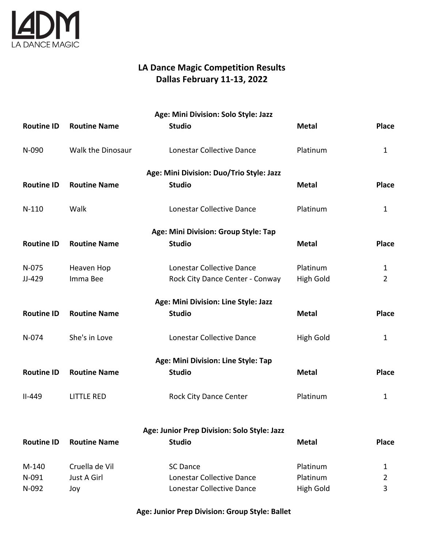

# **LA Dance Magic Competition Results Dallas February 11-13, 2022**

| Age: Mini Division: Solo Style: Jazz        |                                          |                                      |                  |                |  |  |  |
|---------------------------------------------|------------------------------------------|--------------------------------------|------------------|----------------|--|--|--|
| <b>Routine ID</b>                           | <b>Routine Name</b>                      | <b>Studio</b>                        | <b>Metal</b>     | <b>Place</b>   |  |  |  |
| N-090                                       | Walk the Dinosaur                        | Lonestar Collective Dance            | Platinum         | $\mathbf{1}$   |  |  |  |
|                                             | Age: Mini Division: Duo/Trio Style: Jazz |                                      |                  |                |  |  |  |
| <b>Routine ID</b>                           | <b>Routine Name</b>                      | <b>Studio</b>                        | <b>Metal</b>     | <b>Place</b>   |  |  |  |
| $N-110$                                     | Walk                                     | Lonestar Collective Dance            | Platinum         | $\mathbf{1}$   |  |  |  |
|                                             |                                          | Age: Mini Division: Group Style: Tap |                  |                |  |  |  |
| <b>Routine ID</b>                           | <b>Routine Name</b>                      | <b>Studio</b>                        | <b>Metal</b>     | <b>Place</b>   |  |  |  |
| N-075                                       | Heaven Hop                               | Lonestar Collective Dance            | Platinum         | 1              |  |  |  |
| JJ-429                                      | Imma Bee                                 | Rock City Dance Center - Conway      | <b>High Gold</b> | $\overline{2}$ |  |  |  |
| Age: Mini Division: Line Style: Jazz        |                                          |                                      |                  |                |  |  |  |
| <b>Routine ID</b>                           | <b>Routine Name</b>                      | <b>Studio</b>                        | <b>Metal</b>     | <b>Place</b>   |  |  |  |
| N-074                                       | She's in Love                            | Lonestar Collective Dance            | <b>High Gold</b> | 1              |  |  |  |
|                                             |                                          | Age: Mini Division: Line Style: Tap  |                  |                |  |  |  |
| <b>Routine ID</b>                           | <b>Routine Name</b>                      | <b>Studio</b>                        | <b>Metal</b>     | <b>Place</b>   |  |  |  |
| $II - 449$                                  | <b>LITTLE RED</b>                        | <b>Rock City Dance Center</b>        | Platinum         | $\mathbf{1}$   |  |  |  |
| Age: Junior Prep Division: Solo Style: Jazz |                                          |                                      |                  |                |  |  |  |
| <b>Routine ID</b>                           | <b>Routine Name</b>                      | <b>Studio</b>                        | <b>Metal</b>     | <b>Place</b>   |  |  |  |
| M-140                                       | Cruella de Vil                           | <b>SC Dance</b>                      | Platinum         | 1              |  |  |  |
| N-091                                       | Just A Girl                              | Lonestar Collective Dance            | Platinum         | $\overline{2}$ |  |  |  |
| N-092                                       | Joy                                      | Lonestar Collective Dance            | <b>High Gold</b> | 3              |  |  |  |

**Age: Junior Prep Division: Group Style: Ballet**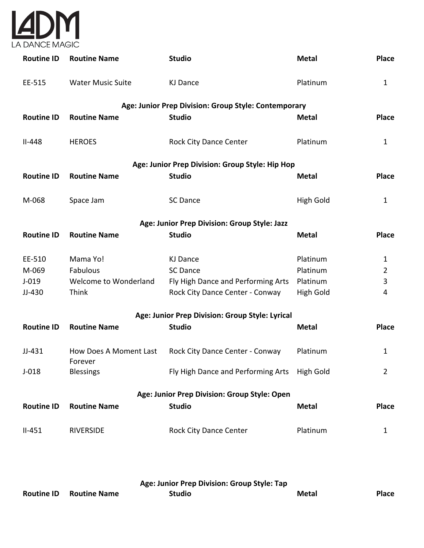

| <b>Routine ID</b> | <b>Routine Name</b>                          | <b>Studio</b>                                        | <b>Metal</b> | <b>Place</b>   |  |  |  |
|-------------------|----------------------------------------------|------------------------------------------------------|--------------|----------------|--|--|--|
| EE-515            | <b>Water Music Suite</b>                     | <b>KJ Dance</b>                                      | Platinum     | $\mathbf{1}$   |  |  |  |
|                   |                                              | Age: Junior Prep Division: Group Style: Contemporary |              |                |  |  |  |
| <b>Routine ID</b> | <b>Routine Name</b>                          | <b>Studio</b>                                        | <b>Metal</b> | Place          |  |  |  |
| $II-448$          | <b>HEROES</b>                                | Rock City Dance Center                               | Platinum     | $\mathbf{1}$   |  |  |  |
|                   |                                              | Age: Junior Prep Division: Group Style: Hip Hop      |              |                |  |  |  |
| <b>Routine ID</b> | <b>Routine Name</b>                          | <b>Studio</b>                                        | <b>Metal</b> | <b>Place</b>   |  |  |  |
| M-068             | Space Jam                                    | <b>SC Dance</b>                                      | High Gold    | $\mathbf{1}$   |  |  |  |
|                   |                                              | Age: Junior Prep Division: Group Style: Jazz         |              |                |  |  |  |
| <b>Routine ID</b> | <b>Routine Name</b>                          | <b>Studio</b>                                        | <b>Metal</b> | <b>Place</b>   |  |  |  |
| EE-510            | Mama Yo!                                     | <b>KJ Dance</b>                                      | Platinum     | 1              |  |  |  |
| M-069             | Fabulous                                     | <b>SC Dance</b>                                      | Platinum     | $\overline{2}$ |  |  |  |
| $J-019$           | Welcome to Wonderland                        | Fly High Dance and Performing Arts                   | Platinum     | $\mathbf{3}$   |  |  |  |
| JJ-430            | Think                                        | Rock City Dance Center - Conway                      | High Gold    | 4              |  |  |  |
|                   |                                              | Age: Junior Prep Division: Group Style: Lyrical      |              |                |  |  |  |
| <b>Routine ID</b> | <b>Routine Name</b>                          | <b>Studio</b>                                        | <b>Metal</b> | <b>Place</b>   |  |  |  |
| $JJ-431$          | <b>How Does A Moment Last</b><br>Forever     | Rock City Dance Center - Conway                      | Platinum     | $\mathbf{1}$   |  |  |  |
| $J-018$           | <b>Blessings</b>                             | Fly High Dance and Performing Arts High Gold         |              | $\overline{2}$ |  |  |  |
|                   | Age: Junior Prep Division: Group Style: Open |                                                      |              |                |  |  |  |
| <b>Routine ID</b> | <b>Routine Name</b>                          | <b>Studio</b>                                        | <b>Metal</b> | <b>Place</b>   |  |  |  |
| $II-451$          | <b>RIVERSIDE</b>                             | <b>Rock City Dance Center</b>                        | Platinum     | 1              |  |  |  |
|                   |                                              |                                                      |              |                |  |  |  |

| Age: Junior Prep Division: Group Style: Tap |                     |               |       |              |  |
|---------------------------------------------|---------------------|---------------|-------|--------------|--|
| <b>Routine ID</b>                           | <b>Routine Name</b> | <b>Studio</b> | Metal | <b>Place</b> |  |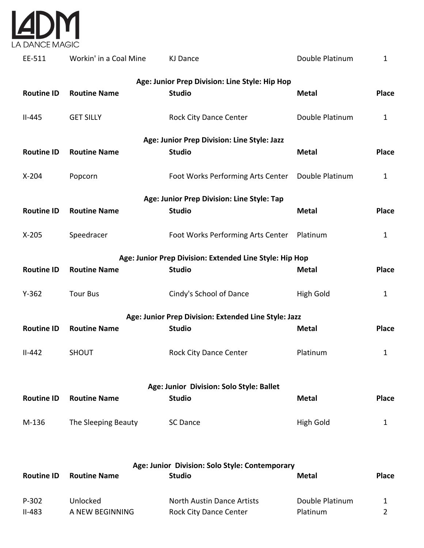

| EE-511                                         | Workin' in a Coal Mine | <b>KJ Dance</b>                                         | Double Platinum  | $\mathbf{1}$ |  |  |  |
|------------------------------------------------|------------------------|---------------------------------------------------------|------------------|--------------|--|--|--|
| Age: Junior Prep Division: Line Style: Hip Hop |                        |                                                         |                  |              |  |  |  |
| <b>Routine ID</b>                              | <b>Routine Name</b>    | <b>Studio</b>                                           | <b>Metal</b>     | <b>Place</b> |  |  |  |
| $II-445$                                       | <b>GET SILLY</b>       | <b>Rock City Dance Center</b>                           | Double Platinum  | $\mathbf{1}$ |  |  |  |
|                                                |                        | Age: Junior Prep Division: Line Style: Jazz             |                  |              |  |  |  |
| <b>Routine ID</b>                              | <b>Routine Name</b>    | <b>Studio</b>                                           | <b>Metal</b>     | <b>Place</b> |  |  |  |
| $X-204$                                        | Popcorn                | Foot Works Performing Arts Center                       | Double Platinum  | $\mathbf{1}$ |  |  |  |
|                                                |                        | Age: Junior Prep Division: Line Style: Tap              |                  |              |  |  |  |
| <b>Routine ID</b>                              | <b>Routine Name</b>    | <b>Studio</b>                                           | <b>Metal</b>     | <b>Place</b> |  |  |  |
| $X-205$                                        | Speedracer             | Foot Works Performing Arts Center                       | Platinum         | $\mathbf{1}$ |  |  |  |
|                                                |                        | Age: Junior Prep Division: Extended Line Style: Hip Hop |                  |              |  |  |  |
| <b>Routine ID</b>                              | <b>Routine Name</b>    | <b>Studio</b>                                           | <b>Metal</b>     | <b>Place</b> |  |  |  |
| $Y-362$                                        | <b>Tour Bus</b>        | Cindy's School of Dance                                 | High Gold        | $\mathbf{1}$ |  |  |  |
|                                                |                        | Age: Junior Prep Division: Extended Line Style: Jazz    |                  |              |  |  |  |
| <b>Routine ID</b>                              | <b>Routine Name</b>    | <b>Studio</b>                                           | <b>Metal</b>     | <b>Place</b> |  |  |  |
| $II - 442$                                     | <b>SHOUT</b>           | <b>Rock City Dance Center</b>                           | Platinum         | $\mathbf{1}$ |  |  |  |
| Age: Junior Division: Solo Style: Ballet       |                        |                                                         |                  |              |  |  |  |
| <b>Routine ID</b>                              | <b>Routine Name</b>    | <b>Studio</b>                                           | <b>Metal</b>     | <b>Place</b> |  |  |  |
| M-136                                          | The Sleeping Beauty    | SC Dance                                                | <b>High Gold</b> | 1            |  |  |  |
|                                                |                        |                                                         |                  |              |  |  |  |

| Age: Junior Division: Solo Style: Contemporary |                     |                                   |                 |              |
|------------------------------------------------|---------------------|-----------------------------------|-----------------|--------------|
| <b>Routine ID</b>                              | <b>Routine Name</b> | <b>Studio</b>                     | Metal           | <b>Place</b> |
| P-302                                          | Unlocked            | <b>North Austin Dance Artists</b> | Double Platinum |              |
| $II-483$                                       | A NEW BEGINNING     | <b>Rock City Dance Center</b>     | Platinum        |              |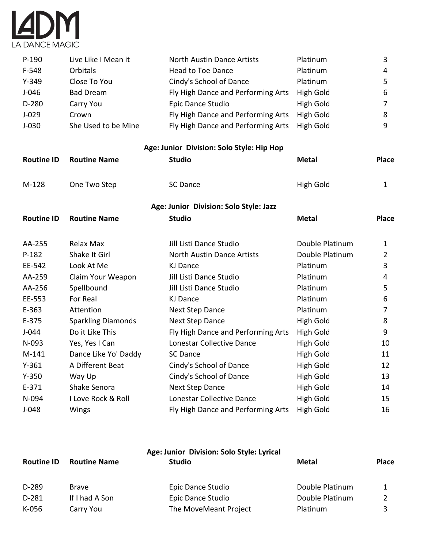

| $P-190$   | Live Like I Mean it | North Austin Dance Artists                   | Platinum  | 3              |
|-----------|---------------------|----------------------------------------------|-----------|----------------|
| $F-548$   | <b>Orbitals</b>     | <b>Head to Toe Dance</b>                     | Platinum  | $\overline{4}$ |
| $Y - 349$ | Close To You        | Cindy's School of Dance                      | Platinum  | 5              |
| $J-046$   | <b>Bad Dream</b>    | Fly High Dance and Performing Arts           | High Gold | 6              |
| D-280     | Carry You           | Epic Dance Studio                            | High Gold | 7              |
| $J-029$   | Crown               | Fly High Dance and Performing Arts High Gold |           | 8              |
| $J-030$   | She Used to be Mine | Fly High Dance and Performing Arts High Gold |           | 9              |

**Age: Junior Division: Solo Style: Hip Hop**

| <b>Routine ID</b> | <b>Routine Name</b>       | <b>Studio</b>                          | <b>Metal</b>     | <b>Place</b>   |
|-------------------|---------------------------|----------------------------------------|------------------|----------------|
| $M-128$           | One Two Step              | <b>SC Dance</b>                        | High Gold        | $\mathbf{1}$   |
|                   |                           | Age: Junior Division: Solo Style: Jazz |                  |                |
| <b>Routine ID</b> | <b>Routine Name</b>       | <b>Studio</b>                          | <b>Metal</b>     | <b>Place</b>   |
| AA-255            | Relax Max                 | Jill Listi Dance Studio                | Double Platinum  | 1              |
| $P-182$           | Shake It Girl             | <b>North Austin Dance Artists</b>      | Double Platinum  | $\overline{2}$ |
| EE-542            | Look At Me                | <b>KJ Dance</b>                        | Platinum         | 3              |
| AA-259            | Claim Your Weapon         | Jill Listi Dance Studio                | Platinum         | 4              |
| AA-256            | Spellbound                | Jill Listi Dance Studio                | Platinum         | 5              |
| EE-553            | For Real                  | <b>KJ Dance</b>                        | Platinum         | 6              |
| $E-363$           | Attention                 | Next Step Dance                        | Platinum         | 7              |
| E-375             | <b>Sparkling Diamonds</b> | Next Step Dance                        | High Gold        | 8              |
| $J-044$           | Do it Like This           | Fly High Dance and Performing Arts     | High Gold        | 9              |
| N-093             | Yes, Yes I Can            | Lonestar Collective Dance              | High Gold        | 10             |
| $M-141$           | Dance Like Yo' Daddy      | <b>SC Dance</b>                        | High Gold        | 11             |
| $Y - 361$         | A Different Beat          | Cindy's School of Dance                | High Gold        | 12             |
| $Y-350$           | Way Up                    | Cindy's School of Dance                | High Gold        | 13             |
| $E-371$           | Shake Senora              | Next Step Dance                        | <b>High Gold</b> | 14             |
| N-094             | I Love Rock & Roll        | Lonestar Collective Dance              | High Gold        | 15             |
| $J-048$           | Wings                     | Fly High Dance and Performing Arts     | <b>High Gold</b> | 16             |

| Age: Junior Division: Solo Style: Lyrical |                     |                       |                 |              |
|-------------------------------------------|---------------------|-----------------------|-----------------|--------------|
| <b>Routine ID</b>                         | <b>Routine Name</b> | <b>Studio</b>         | <b>Metal</b>    | <b>Place</b> |
| D-289                                     | <b>Brave</b>        | Epic Dance Studio     | Double Platinum |              |
| $D-281$                                   | If I had A Son      | Epic Dance Studio     | Double Platinum |              |
| K-056                                     | Carry You           | The MoveMeant Project | Platinum        |              |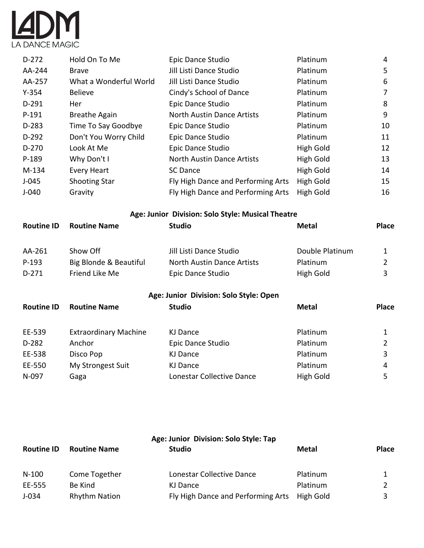

| $D-272$   | Hold On To Me          | Epic Dance Studio                  | Platinum  | 4  |
|-----------|------------------------|------------------------------------|-----------|----|
| AA-244    | <b>Brave</b>           | Jill Listi Dance Studio            | Platinum  | 5  |
| AA-257    | What a Wonderful World | Jill Listi Dance Studio            | Platinum  | 6  |
| $Y - 354$ | <b>Believe</b>         | Cindy's School of Dance            | Platinum  | 7  |
| $D-291$   | Her                    | Epic Dance Studio                  | Platinum  | 8  |
| $P-191$   | <b>Breathe Again</b>   | North Austin Dance Artists         | Platinum  | 9  |
| $D-283$   | Time To Say Goodbye    | Epic Dance Studio                  | Platinum  | 10 |
| $D-292$   | Don't You Worry Child  | Epic Dance Studio                  | Platinum  | 11 |
| $D-270$   | Look At Me             | Epic Dance Studio                  | High Gold | 12 |
| P-189     | Why Don't I            | <b>North Austin Dance Artists</b>  | High Gold | 13 |
| M-134     | <b>Every Heart</b>     | <b>SC Dance</b>                    | High Gold | 14 |
| $J-045$   | <b>Shooting Star</b>   | Fly High Dance and Performing Arts | High Gold | 15 |
| $J-040$   | Gravity                | Fly High Dance and Performing Arts | High Gold | 16 |

**Age: Junior Division: Solo Style: Musical Theatre**

| <b>Routine ID</b> | <b>Routine Name</b>          | <b>Studio</b>                          | <b>Metal</b>    | <b>Place</b> |
|-------------------|------------------------------|----------------------------------------|-----------------|--------------|
|                   |                              |                                        |                 |              |
| AA-261            | Show Off                     | Jill Listi Dance Studio                | Double Platinum | 1            |
| $P-193$           | Big Blonde & Beautiful       | North Austin Dance Artists             | Platinum        | 2            |
| $D-271$           | Friend Like Me               | Epic Dance Studio                      | High Gold       | 3            |
|                   |                              | Age: Junior Division: Solo Style: Open |                 |              |
| <b>Routine ID</b> | <b>Routine Name</b>          | <b>Studio</b>                          | Metal           | <b>Place</b> |
| EE-539            | <b>Extraordinary Machine</b> | KJ Dance                               | Platinum        | 1            |
| $D-282$           | Anchor                       | Epic Dance Studio                      | Platinum        | 2            |
| EE-538            | Disco Pop                    | KJ Dance                               | Platinum        | 3            |
| EE-550            | My Strongest Suit            | KJ Dance                               | Platinum        | 4            |
| N-097             | Gaga                         | Lonestar Collective Dance              | High Gold       | 5            |

| <b>Routine ID</b> | <b>Routine Name</b>  | Age: Junior Division: Solo Style: Tap<br><b>Studio</b> | <b>Metal</b> | <b>Place</b> |
|-------------------|----------------------|--------------------------------------------------------|--------------|--------------|
| $N-100$           | Come Together        | Lonestar Collective Dance                              | Platinum     |              |
| EE-555            | Be Kind              | KJ Dance                                               | Platinum     |              |
| $J-034$           | <b>Rhythm Nation</b> | Fly High Dance and Performing Arts                     | High Gold    |              |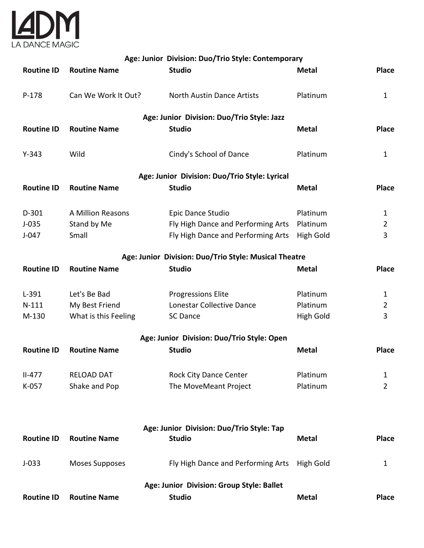

|                   | Age: Junior Division: Duo/Trio Style: Contemporary |                                                       |                  |                |  |  |  |  |
|-------------------|----------------------------------------------------|-------------------------------------------------------|------------------|----------------|--|--|--|--|
| <b>Routine ID</b> | <b>Routine Name</b>                                | <b>Studio</b>                                         | <b>Metal</b>     | <b>Place</b>   |  |  |  |  |
| $P-178$           | Can We Work It Out?                                | <b>North Austin Dance Artists</b>                     | Platinum         | $\mathbf{1}$   |  |  |  |  |
|                   |                                                    | Age: Junior Division: Duo/Trio Style: Jazz            |                  |                |  |  |  |  |
| <b>Routine ID</b> | <b>Routine Name</b>                                | <b>Studio</b>                                         | <b>Metal</b>     | <b>Place</b>   |  |  |  |  |
| $Y - 343$         | Wild                                               | Cindy's School of Dance                               | Platinum         | $\mathbf{1}$   |  |  |  |  |
|                   |                                                    | Age: Junior Division: Duo/Trio Style: Lyrical         |                  |                |  |  |  |  |
| <b>Routine ID</b> | <b>Routine Name</b>                                | <b>Studio</b>                                         | <b>Metal</b>     | <b>Place</b>   |  |  |  |  |
| $D-301$           | A Million Reasons                                  | Epic Dance Studio                                     | Platinum         | $\mathbf 1$    |  |  |  |  |
| $J-035$           | Stand by Me                                        | Fly High Dance and Performing Arts                    | Platinum         | $\overline{2}$ |  |  |  |  |
| $J-047$           | Small                                              | Fly High Dance and Performing Arts                    | <b>High Gold</b> | 3              |  |  |  |  |
|                   |                                                    | Age: Junior Division: Duo/Trio Style: Musical Theatre |                  |                |  |  |  |  |
| <b>Routine ID</b> | <b>Routine Name</b>                                | <b>Studio</b>                                         | <b>Metal</b>     | <b>Place</b>   |  |  |  |  |
| $L-391$           | Let's Be Bad                                       | <b>Progressions Elite</b>                             | Platinum         | $\mathbf{1}$   |  |  |  |  |
| $N-111$           | My Best Friend                                     | Lonestar Collective Dance                             | Platinum         | $\overline{2}$ |  |  |  |  |
| M-130             | What is this Feeling                               | <b>SC Dance</b>                                       | <b>High Gold</b> | 3              |  |  |  |  |
|                   |                                                    | Age: Junior Division: Duo/Trio Style: Open            |                  |                |  |  |  |  |
| <b>Routine ID</b> | <b>Routine Name</b>                                | <b>Studio</b>                                         | <b>Metal</b>     | <b>Place</b>   |  |  |  |  |
| $II-477$          | <b>RELOAD DAT</b>                                  | <b>Rock City Dance Center</b>                         | Platinum         | 1              |  |  |  |  |
| K-057             | Shake and Pop                                      | The MoveMeant Project                                 | Platinum         | 2              |  |  |  |  |
|                   |                                                    |                                                       |                  |                |  |  |  |  |
|                   |                                                    | Age: Junior Division: Duo/Trio Style: Tap             |                  |                |  |  |  |  |
| <b>Routine ID</b> | <b>Routine Name</b>                                | <b>Studio</b>                                         | <b>Metal</b>     | <b>Place</b>   |  |  |  |  |
| $J-033$           | <b>Moses Supposes</b>                              | Fly High Dance and Performing Arts                    | High Gold        | 1              |  |  |  |  |
|                   |                                                    | Age: Junior Division: Group Style: Ballet             |                  |                |  |  |  |  |
| <b>Routine ID</b> | <b>Routine Name</b>                                | <b>Studio</b>                                         | <b>Metal</b>     | Place          |  |  |  |  |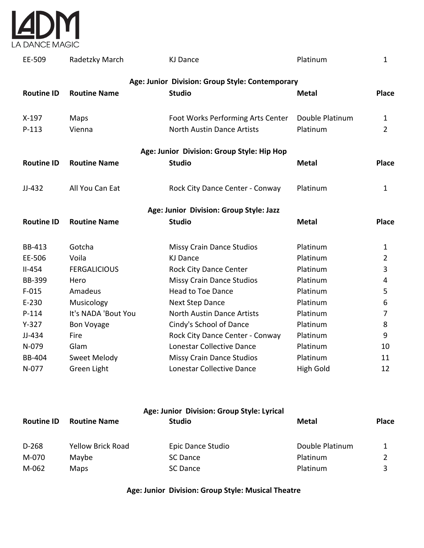

| EE-509            | Radetzky March      | <b>KJ Dance</b>                                 | Platinum        | $\mathbf{1}$   |
|-------------------|---------------------|-------------------------------------------------|-----------------|----------------|
|                   |                     | Age: Junior Division: Group Style: Contemporary |                 |                |
| <b>Routine ID</b> | <b>Routine Name</b> | <b>Studio</b>                                   | <b>Metal</b>    | <b>Place</b>   |
| $X-197$           | Maps                | Foot Works Performing Arts Center               | Double Platinum | $\mathbf{1}$   |
| $P-113$           | Vienna              | <b>North Austin Dance Artists</b>               | Platinum        | $\overline{2}$ |
|                   |                     | Age: Junior Division: Group Style: Hip Hop      |                 |                |
| <b>Routine ID</b> | <b>Routine Name</b> | <b>Studio</b>                                   | <b>Metal</b>    | <b>Place</b>   |
| $JJ-432$          | All You Can Eat     | Rock City Dance Center - Conway                 | Platinum        | $\mathbf{1}$   |
|                   |                     | Age: Junior Division: Group Style: Jazz         |                 |                |
| <b>Routine ID</b> | <b>Routine Name</b> | <b>Studio</b>                                   | <b>Metal</b>    | <b>Place</b>   |
| <b>BB-413</b>     | Gotcha              | <b>Missy Crain Dance Studios</b>                | Platinum        | $\mathbf{1}$   |
| EE-506            | Voila               | <b>KJ Dance</b>                                 | Platinum        | $\overline{2}$ |
| $II-454$          | <b>FERGALICIOUS</b> | <b>Rock City Dance Center</b>                   | Platinum        | 3              |
| <b>BB-399</b>     | Hero                | <b>Missy Crain Dance Studios</b>                | Platinum        | 4              |
| $F-015$           | Amadeus             | <b>Head to Toe Dance</b>                        | Platinum        | 5              |
| $E-230$           | Musicology          | <b>Next Step Dance</b>                          | Platinum        | 6              |
| $P-114$           | It's NADA 'Bout You | <b>North Austin Dance Artists</b>               | Platinum        | $\overline{7}$ |
| $Y-327$           | <b>Bon Voyage</b>   | Cindy's School of Dance                         | Platinum        | 8              |
| JJ-434            | Fire                | Rock City Dance Center - Conway                 | Platinum        | 9              |
| N-079             | Glam                | Lonestar Collective Dance                       | Platinum        | 10             |
| <b>BB-404</b>     | Sweet Melody        | <b>Missy Crain Dance Studios</b>                | Platinum        | 11             |
| N-077             | Green Light         | Lonestar Collective Dance                       | High Gold       | 12             |

|                   | Age: Junior Division: Group Style: Lyrical |                   |                 |              |  |  |  |
|-------------------|--------------------------------------------|-------------------|-----------------|--------------|--|--|--|
| <b>Routine ID</b> | <b>Routine Name</b>                        | Studio            | Metal           | <b>Place</b> |  |  |  |
| D-268             | <b>Yellow Brick Road</b>                   | Epic Dance Studio | Double Platinum |              |  |  |  |
| M-070             | Maybe                                      | SC Dance          | Platinum        |              |  |  |  |
| M-062             | Maps                                       | SC Dance          | Platinum        |              |  |  |  |

**Age: Junior Division: Group Style: Musical Theatre**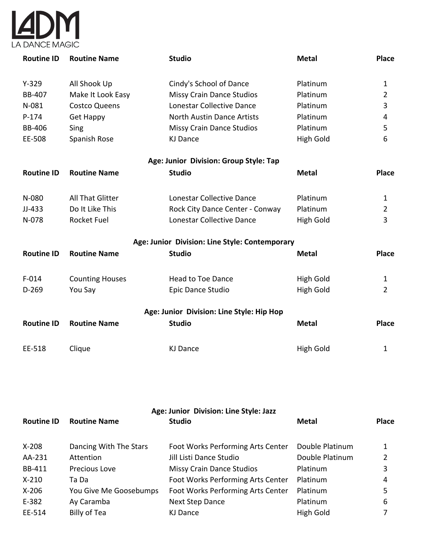

| <b>Routine ID</b> | <b>Routine Name</b>    | <b>Studio</b>                                  | <b>Metal</b>     | <b>Place</b>   |
|-------------------|------------------------|------------------------------------------------|------------------|----------------|
|                   |                        |                                                |                  |                |
| $Y-329$           | All Shook Up           | Cindy's School of Dance                        | Platinum         | 1              |
| <b>BB-407</b>     | Make It Look Easy      | <b>Missy Crain Dance Studios</b>               | Platinum         | $\overline{2}$ |
| N-081             | <b>Costco Queens</b>   | Lonestar Collective Dance                      | Platinum         | 3              |
| $P-174$           | <b>Get Happy</b>       | <b>North Austin Dance Artists</b>              | Platinum         | 4              |
| <b>BB-406</b>     | Sing                   | <b>Missy Crain Dance Studios</b>               | Platinum         | 5              |
| EE-508            | Spanish Rose           | <b>KJ Dance</b>                                | High Gold        | 6              |
|                   |                        | Age: Junior Division: Group Style: Tap         |                  |                |
| <b>Routine ID</b> | <b>Routine Name</b>    | <b>Studio</b>                                  | <b>Metal</b>     | Place          |
|                   |                        |                                                |                  |                |
| N-080             | All That Glitter       | Lonestar Collective Dance                      | Platinum         | $\mathbf 1$    |
| $JJ-433$          | Do It Like This        | Rock City Dance Center - Conway                | Platinum         | $\overline{2}$ |
| N-078             | <b>Rocket Fuel</b>     | Lonestar Collective Dance                      | <b>High Gold</b> | 3              |
|                   |                        | Age: Junior Division: Line Style: Contemporary |                  |                |
| <b>Routine ID</b> | <b>Routine Name</b>    | <b>Studio</b>                                  | <b>Metal</b>     | Place          |
| $F-014$           | <b>Counting Houses</b> | <b>Head to Toe Dance</b>                       | <b>High Gold</b> | 1              |
| $D-269$           | You Say                | Epic Dance Studio                              | <b>High Gold</b> | $\overline{2}$ |
|                   |                        |                                                |                  |                |
|                   |                        | Age: Junior Division: Line Style: Hip Hop      |                  |                |
| <b>Routine ID</b> | <b>Routine Name</b>    | <b>Studio</b>                                  | <b>Metal</b>     | Place          |
| EE-518            | Clique                 | <b>KJ Dance</b>                                | <b>High Gold</b> | 1              |
|                   |                        |                                                |                  |                |

| Age: Junior Division: Line Style: Jazz |                        |                                   |                 |              |  |
|----------------------------------------|------------------------|-----------------------------------|-----------------|--------------|--|
| <b>Routine ID</b>                      | <b>Routine Name</b>    | <b>Studio</b>                     | Metal           | <b>Place</b> |  |
| $X-208$                                | Dancing With The Stars | Foot Works Performing Arts Center | Double Platinum |              |  |
| AA-231                                 | Attention              | Jill Listi Dance Studio           | Double Platinum |              |  |
| BB-411                                 | Precious Love          | <b>Missy Crain Dance Studios</b>  | Platinum        | 3            |  |
| $X-210$                                | Ta Da                  | Foot Works Performing Arts Center | Platinum        | 4            |  |
| $X-206$                                | You Give Me Goosebumps | Foot Works Performing Arts Center | <b>Platinum</b> | 5            |  |
| E-382                                  | Ay Caramba             | <b>Next Step Dance</b>            | Platinum        | 6            |  |
| EE-514                                 | Billy of Tea           | KJ Dance                          | High Gold       |              |  |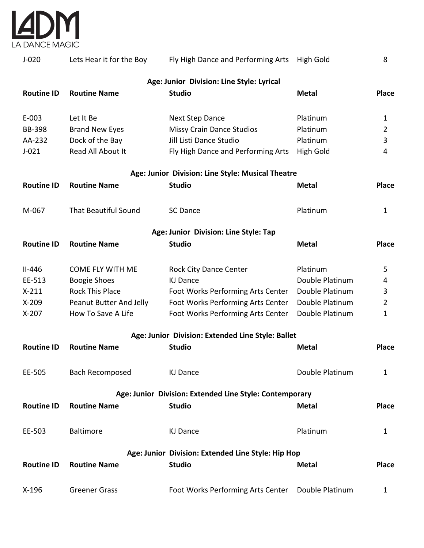

| $J-020$           | Lets Hear it for the Boy    | Fly High Dance and Performing Arts                                  | High Gold       | 8              |
|-------------------|-----------------------------|---------------------------------------------------------------------|-----------------|----------------|
| <b>Routine ID</b> | <b>Routine Name</b>         | Age: Junior Division: Line Style: Lyrical<br><b>Studio</b>          | <b>Metal</b>    | <b>Place</b>   |
| $E-003$           | Let It Be                   | <b>Next Step Dance</b>                                              | Platinum        | 1              |
| <b>BB-398</b>     | <b>Brand New Eyes</b>       | <b>Missy Crain Dance Studios</b>                                    | Platinum        | $\overline{2}$ |
| AA-232            | Dock of the Bay             | Jill Listi Dance Studio                                             | Platinum        | 3              |
| $J-021$           | Read All About It           | Fly High Dance and Performing Arts                                  | High Gold       | 4              |
|                   |                             | Age: Junior Division: Line Style: Musical Theatre                   |                 |                |
| <b>Routine ID</b> | <b>Routine Name</b>         | <b>Studio</b>                                                       | <b>Metal</b>    | <b>Place</b>   |
| M-067             | <b>That Beautiful Sound</b> | <b>SC Dance</b>                                                     | Platinum        | $\mathbf{1}$   |
|                   |                             | Age: Junior Division: Line Style: Tap                               |                 |                |
| <b>Routine ID</b> | <b>Routine Name</b>         | <b>Studio</b>                                                       | <b>Metal</b>    | <b>Place</b>   |
| $II-446$          | <b>COME FLY WITH ME</b>     | <b>Rock City Dance Center</b>                                       | Platinum        | 5              |
| EE-513            | <b>Boogie Shoes</b>         | <b>KJ Dance</b>                                                     | Double Platinum | 4              |
| $X-211$           | <b>Rock This Place</b>      | Foot Works Performing Arts Center                                   | Double Platinum | 3              |
| $X-209$           | Peanut Butter And Jelly     | Foot Works Performing Arts Center                                   | Double Platinum | $\overline{2}$ |
| $X-207$           | How To Save A Life          | Foot Works Performing Arts Center                                   | Double Platinum | $\mathbf{1}$   |
|                   |                             | Age: Junior Division: Extended Line Style: Ballet                   |                 |                |
| <b>Routine ID</b> | <b>Routine Name</b>         | <b>Studio</b>                                                       | <b>Metal</b>    | <b>Place</b>   |
| EE-505            | Bach Recomposed             | KJ Dance                                                            | Double Platinum | $\mathbf{1}$   |
|                   |                             | Age: Junior Division: Extended Line Style: Contemporary             |                 |                |
| <b>Routine ID</b> | <b>Routine Name</b>         | <b>Studio</b>                                                       | <b>Metal</b>    | Place          |
| EE-503            | Baltimore                   | <b>KJ Dance</b>                                                     | Platinum        | $\mathbf{1}$   |
| <b>Routine ID</b> | <b>Routine Name</b>         | Age: Junior Division: Extended Line Style: Hip Hop<br><b>Studio</b> | <b>Metal</b>    | <b>Place</b>   |
| $X-196$           | <b>Greener Grass</b>        | Foot Works Performing Arts Center Double Platinum                   |                 | $\mathbf{1}$   |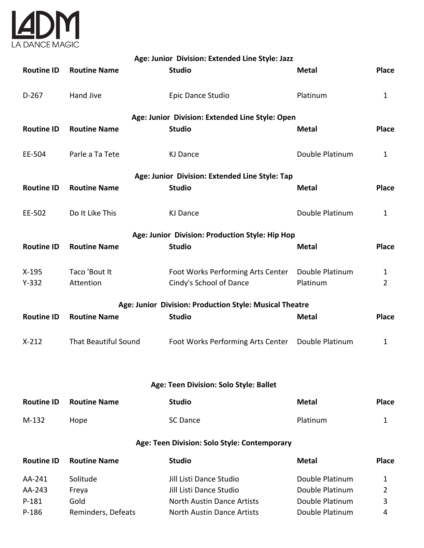

| Age: Junior Division: Extended Line Style: Jazz |                                                |                                                              |                             |                                |  |  |  |  |
|-------------------------------------------------|------------------------------------------------|--------------------------------------------------------------|-----------------------------|--------------------------------|--|--|--|--|
| <b>Routine ID</b>                               | <b>Routine Name</b>                            | <b>Studio</b>                                                | <b>Metal</b>                | <b>Place</b>                   |  |  |  |  |
| $D-267$                                         | <b>Hand Jive</b>                               | Epic Dance Studio                                            | Platinum                    | $\mathbf{1}$                   |  |  |  |  |
|                                                 |                                                | Age: Junior Division: Extended Line Style: Open              |                             |                                |  |  |  |  |
| <b>Routine ID</b>                               | <b>Routine Name</b>                            | <b>Studio</b>                                                | <b>Metal</b>                | <b>Place</b>                   |  |  |  |  |
| EE-504                                          | Parle a Ta Tete                                | <b>KJ Dance</b>                                              | Double Platinum             | $\mathbf{1}$                   |  |  |  |  |
|                                                 | Age: Junior Division: Extended Line Style: Tap |                                                              |                             |                                |  |  |  |  |
| <b>Routine ID</b>                               | <b>Routine Name</b>                            | <b>Studio</b>                                                | <b>Metal</b>                | <b>Place</b>                   |  |  |  |  |
| EE-502                                          | Do It Like This                                | <b>KJ Dance</b>                                              | Double Platinum             | $\mathbf{1}$                   |  |  |  |  |
|                                                 |                                                | Age: Junior Division: Production Style: Hip Hop              |                             |                                |  |  |  |  |
| <b>Routine ID</b>                               | <b>Routine Name</b>                            | <b>Studio</b>                                                | <b>Metal</b>                | <b>Place</b>                   |  |  |  |  |
| $X-195$<br>$Y-332$                              | Taco 'Bout It<br>Attention                     | Foot Works Performing Arts Center<br>Cindy's School of Dance | Double Platinum<br>Platinum | $\mathbf{1}$<br>$\overline{2}$ |  |  |  |  |
|                                                 |                                                | Age: Junior Division: Production Style: Musical Theatre      |                             |                                |  |  |  |  |
| <b>Routine ID</b>                               | <b>Routine Name</b>                            | <b>Studio</b>                                                | <b>Metal</b>                | <b>Place</b>                   |  |  |  |  |
| $X-212$                                         | <b>That Beautiful Sound</b>                    | Foot Works Performing Arts Center                            | Double Platinum             | $\mathbf{1}$                   |  |  |  |  |
|                                                 |                                                |                                                              |                             |                                |  |  |  |  |
|                                                 |                                                | Age: Teen Division: Solo Style: Ballet                       |                             |                                |  |  |  |  |
| <b>Routine ID</b>                               | <b>Routine Name</b>                            | <b>Studio</b>                                                | <b>Metal</b>                | Place                          |  |  |  |  |
| M-132                                           | Hope                                           | <b>SC Dance</b>                                              | Platinum                    | 1                              |  |  |  |  |
|                                                 | Age: Teen Division: Solo Style: Contemporary   |                                                              |                             |                                |  |  |  |  |
| <b>Routine ID</b>                               | <b>Routine Name</b>                            | <b>Studio</b>                                                | <b>Metal</b>                | <b>Place</b>                   |  |  |  |  |
| AA-241                                          | Solitude                                       | Jill Listi Dance Studio                                      | Double Platinum             | 1                              |  |  |  |  |
| AA-243                                          | Freya                                          | Jill Listi Dance Studio                                      | Double Platinum             | $\overline{2}$                 |  |  |  |  |
| $P-181$                                         | Gold                                           | <b>North Austin Dance Artists</b>                            | Double Platinum             | 3                              |  |  |  |  |
| $P-186$                                         | Reminders, Defeats                             | North Austin Dance Artists                                   | Double Platinum             | 4                              |  |  |  |  |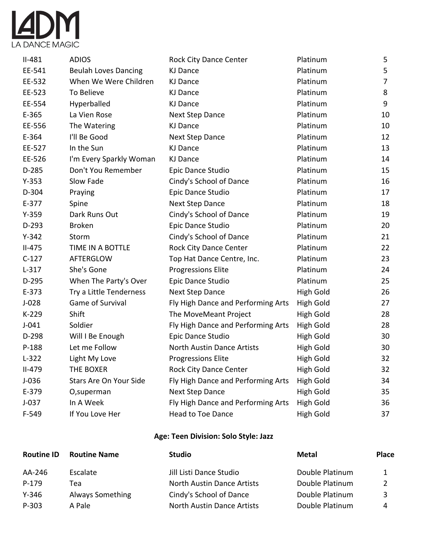

| $II-481$  | <b>ADIOS</b>                | <b>Rock City Dance Center</b>      | Platinum         | 5  |
|-----------|-----------------------------|------------------------------------|------------------|----|
| EE-541    | <b>Beulah Loves Dancing</b> | <b>KJ Dance</b>                    | Platinum         | 5  |
| EE-532    | When We Were Children       | <b>KJ Dance</b>                    | Platinum         | 7  |
| EE-523    | To Believe                  | <b>KJ Dance</b>                    | Platinum         | 8  |
| EE-554    | Hyperballed                 | <b>KJ Dance</b>                    | Platinum         | 9  |
| E-365     | La Vien Rose                | Next Step Dance                    | Platinum         | 10 |
| EE-556    | The Watering                | KJ Dance                           | Platinum         | 10 |
| E-364     | I'll Be Good                | <b>Next Step Dance</b>             | Platinum         | 12 |
| EE-527    | In the Sun                  | <b>KJ Dance</b>                    | Platinum         | 13 |
| EE-526    | I'm Every Sparkly Woman     | <b>KJ Dance</b>                    | Platinum         | 14 |
| D-285     | Don't You Remember          | Epic Dance Studio                  | Platinum         | 15 |
| $Y-353$   | Slow Fade                   | Cindy's School of Dance            | Platinum         | 16 |
| D-304     | Praying                     | Epic Dance Studio                  | Platinum         | 17 |
| $E-377$   | Spine                       | <b>Next Step Dance</b>             | Platinum         | 18 |
| $Y-359$   | Dark Runs Out               | Cindy's School of Dance            | Platinum         | 19 |
| $D-293$   | <b>Broken</b>               | Epic Dance Studio                  | Platinum         | 20 |
| $Y-342$   | Storm                       | Cindy's School of Dance            | Platinum         | 21 |
| $II-475$  | TIME IN A BOTTLE            | <b>Rock City Dance Center</b>      | Platinum         | 22 |
| $C-127$   | AFTERGLOW                   | Top Hat Dance Centre, Inc.         | Platinum         | 23 |
| $L-317$   | She's Gone                  | <b>Progressions Elite</b>          | Platinum         | 24 |
| D-295     | When The Party's Over       | Epic Dance Studio                  | Platinum         | 25 |
| $E-373$   | Try a Little Tenderness     | <b>Next Step Dance</b>             | <b>High Gold</b> | 26 |
| $J-028$   | Game of Survival            | Fly High Dance and Performing Arts | High Gold        | 27 |
| K-229     | Shift                       | The MoveMeant Project              | High Gold        | 28 |
| $J - 041$ | Soldier                     | Fly High Dance and Performing Arts | <b>High Gold</b> | 28 |
| D-298     | Will I Be Enough            | Epic Dance Studio                  | High Gold        | 30 |
| P-188     | Let me Follow               | North Austin Dance Artists         | High Gold        | 30 |
| $L-322$   | Light My Love               | <b>Progressions Elite</b>          | <b>High Gold</b> | 32 |
| $II-479$  | THE BOXER                   | <b>Rock City Dance Center</b>      | <b>High Gold</b> | 32 |
| $J-036$   | Stars Are On Your Side      | Fly High Dance and Performing Arts | <b>High Gold</b> | 34 |
| E-379     | O,superman                  | Next Step Dance                    | <b>High Gold</b> | 35 |
| $J-037$   | In A Week                   | Fly High Dance and Performing Arts | <b>High Gold</b> | 36 |
| F-549     | If You Love Her             | Head to Toe Dance                  | <b>High Gold</b> | 37 |

# **Age: Teen Division: Solo Style: Jazz**

| <b>Routine ID</b> | <b>Routine Name</b> | <b>Studio</b>              | <b>Metal</b>    | <b>Place</b> |
|-------------------|---------------------|----------------------------|-----------------|--------------|
| AA-246            | Escalate            | Jill Listi Dance Studio    | Double Platinum |              |
| $P-179$           | Tea                 | North Austin Dance Artists | Double Platinum |              |
| $Y - 346$         | Always Something    | Cindy's School of Dance    | Double Platinum | २            |
| P-303             | A Pale              | North Austin Dance Artists | Double Platinum | 4            |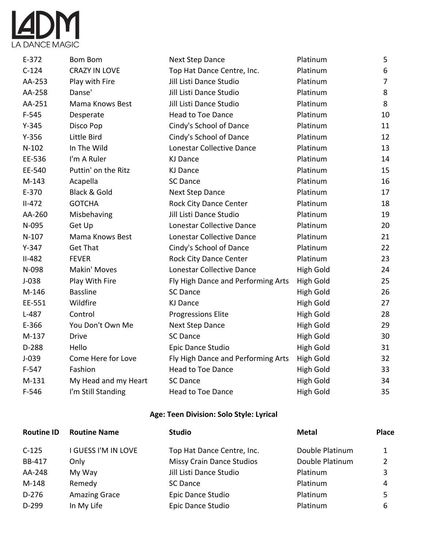

| $E-372$  | <b>Bom Bom</b>          | <b>Next Step Dance</b>             | Platinum         | 5              |
|----------|-------------------------|------------------------------------|------------------|----------------|
| $C-124$  | <b>CRAZY IN LOVE</b>    | Top Hat Dance Centre, Inc.         | Platinum         | 6              |
| AA-253   | Play with Fire          | Jill Listi Dance Studio            | Platinum         | $\overline{7}$ |
| AA-258   | Danse'                  | Jill Listi Dance Studio            | Platinum         | 8              |
| AA-251   | Mama Knows Best         | Jill Listi Dance Studio            | Platinum         | 8              |
| $F-545$  | Desperate               | <b>Head to Toe Dance</b>           | Platinum         | 10             |
| $Y-345$  | Disco Pop               | Cindy's School of Dance            | Platinum         | 11             |
| $Y-356$  | Little Bird             | Cindy's School of Dance            | Platinum         | 12             |
| $N-102$  | In The Wild             | Lonestar Collective Dance          | Platinum         | 13             |
| EE-536   | I'm A Ruler             | <b>KJ Dance</b>                    | Platinum         | 14             |
| EE-540   | Puttin' on the Ritz     | <b>KJ Dance</b>                    | Platinum         | 15             |
| $M-143$  | Acapella                | <b>SC Dance</b>                    | Platinum         | 16             |
| E-370    | <b>Black &amp; Gold</b> | Next Step Dance                    | Platinum         | 17             |
| $II-472$ | <b>GOTCHA</b>           | <b>Rock City Dance Center</b>      | Platinum         | 18             |
| AA-260   | Misbehaving             | Jill Listi Dance Studio            | Platinum         | 19             |
| N-095    | Get Up                  | Lonestar Collective Dance          | Platinum         | 20             |
| $N-107$  | Mama Knows Best         | Lonestar Collective Dance          | Platinum         | 21             |
| $Y-347$  | <b>Get That</b>         | Cindy's School of Dance            | Platinum         | 22             |
| $II-482$ | <b>FEVER</b>            | <b>Rock City Dance Center</b>      | Platinum         | 23             |
| N-098    | Makin' Moves            | Lonestar Collective Dance          | High Gold        | 24             |
| $J-038$  | Play With Fire          | Fly High Dance and Performing Arts | High Gold        | 25             |
| M-146    | <b>Bassline</b>         | <b>SC Dance</b>                    | High Gold        | 26             |
| EE-551   | Wildfire                | <b>KJ Dance</b>                    | High Gold        | 27             |
| $L-487$  | Control                 | <b>Progressions Elite</b>          | High Gold        | 28             |
| E-366    | You Don't Own Me        | Next Step Dance                    | High Gold        | 29             |
| $M-137$  | <b>Drive</b>            | <b>SC Dance</b>                    | <b>High Gold</b> | 30             |
| D-288    | Hello                   | Epic Dance Studio                  | <b>High Gold</b> | 31             |
| $J-039$  | Come Here for Love      | Fly High Dance and Performing Arts | High Gold        | 32             |
| $F-547$  | Fashion                 | <b>Head to Toe Dance</b>           | High Gold        | 33             |
| $M-131$  | My Head and my Heart    | <b>SC Dance</b>                    | High Gold        | 34             |
| $F-546$  | I'm Still Standing      | <b>Head to Toe Dance</b>           | High Gold        | 35             |

# **Age: Teen Division: Solo Style: Lyrical**

| <b>Routine ID</b> | <b>Routine Name</b>      | <b>Studio</b>                    | <b>Metal</b>    | <b>Place</b> |
|-------------------|--------------------------|----------------------------------|-----------------|--------------|
| $C-125$           | <b>GUESS I'M IN LOVE</b> | Top Hat Dance Centre, Inc.       | Double Platinum | 1            |
| BB-417            | Only                     | <b>Missy Crain Dance Studios</b> | Double Platinum |              |
| AA-248            | My Way                   | Jill Listi Dance Studio          | Platinum        |              |
| M-148             | Remedy                   | SC Dance                         | Platinum        | 4            |
| D-276             | <b>Amazing Grace</b>     | Epic Dance Studio                | Platinum        |              |
| $D-299$           | In My Life               | Epic Dance Studio                | Platinum        | 6            |
|                   |                          |                                  |                 |              |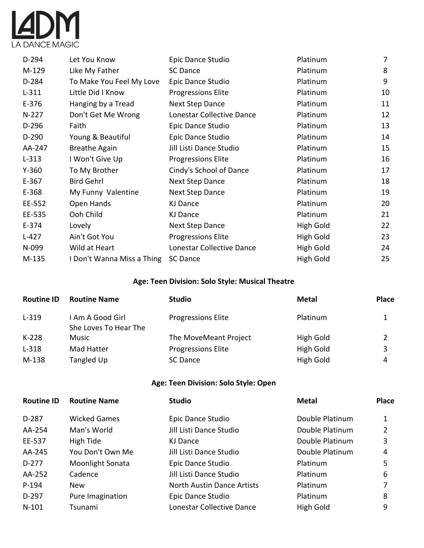

| D-294     | Let You Know               | Epic Dance Studio         | Platinum  | 7  |
|-----------|----------------------------|---------------------------|-----------|----|
| M-129     | Like My Father             | SC Dance                  | Platinum  | 8  |
| D-284     | To Make You Feel My Love   | Epic Dance Studio         | Platinum  | 9  |
| $L-311$   | Little Did I Know          | <b>Progressions Elite</b> | Platinum  | 10 |
| $E-376$   | Hanging by a Tread         | <b>Next Step Dance</b>    | Platinum  | 11 |
| $N-227$   | Don't Get Me Wrong         | Lonestar Collective Dance | Platinum  | 12 |
| D-296     | Faith                      | Epic Dance Studio         | Platinum  | 13 |
| $D-290$   | Young & Beautiful          | Epic Dance Studio         | Platinum  | 14 |
| AA-247    | <b>Breathe Again</b>       | Jill Listi Dance Studio   | Platinum  | 15 |
| $L-313$   | I Won't Give Up            | <b>Progressions Elite</b> | Platinum  | 16 |
| $Y - 360$ | To My Brother              | Cindy's School of Dance   | Platinum  | 17 |
| $E-367$   | <b>Bird Gehrl</b>          | <b>Next Step Dance</b>    | Platinum  | 18 |
| E-368     | My Funny Valentine         | Next Step Dance           | Platinum  | 19 |
| EE-552    | Open Hands                 | KJ Dance                  | Platinum  | 20 |
| EE-535    | Ooh Child                  | KJ Dance                  | Platinum  | 21 |
| $E-374$   | Lovely                     | Next Step Dance           | High Gold | 22 |
| $L-427$   | Ain't Got You              | <b>Progressions Elite</b> | High Gold | 23 |
| N-099     | Wild at Heart              | Lonestar Collective Dance | High Gold | 24 |
| M-135     | I Don't Wanna Miss a Thing | <b>SC Dance</b>           | High Gold | 25 |

# **Age: Teen Division: Solo Style: Musical Theatre**

| <b>Routine ID</b> | <b>Routine Name</b>                       | <b>Studio</b>             | <b>Metal</b> | <b>Place</b> |
|-------------------|-------------------------------------------|---------------------------|--------------|--------------|
| $L - 319$         | I Am A Good Girl<br>She Loves To Hear The | <b>Progressions Elite</b> | Platinum     |              |
| $K-228$           | Music                                     | The MoveMeant Project     | High Gold    |              |
| $L-318$           | Mad Hatter                                | <b>Progressions Elite</b> | High Gold    | 3            |
| M-138             | Tangled Up                                | SC Dance                  | High Gold    | 4            |

# **Age: Teen Division: Solo Style: Open**

| <b>Routine ID</b> | <b>Routine Name</b> | <b>Studio</b>                     | <b>Metal</b>    | <b>Place</b> |
|-------------------|---------------------|-----------------------------------|-----------------|--------------|
| $D-287$           | <b>Wicked Games</b> | Epic Dance Studio                 | Double Platinum |              |
| AA-254            | Man's World         | Jill Listi Dance Studio           | Double Platinum |              |
| EE-537            | High Tide           | KJ Dance                          | Double Platinum | 3            |
| AA-245            | You Don't Own Me    | Jill Listi Dance Studio           | Double Platinum | 4            |
| D-277             | Moonlight Sonata    | Epic Dance Studio                 | Platinum        | 5            |
| AA-252            | Cadence             | Jill Listi Dance Studio           | Platinum        | 6            |
| P-194             | <b>New</b>          | <b>North Austin Dance Artists</b> | Platinum        |              |
| $D-297$           | Pure Imagination    | Epic Dance Studio                 | Platinum        | 8            |
| $N-101$           | Tsunami             | Lonestar Collective Dance         | High Gold       | 9            |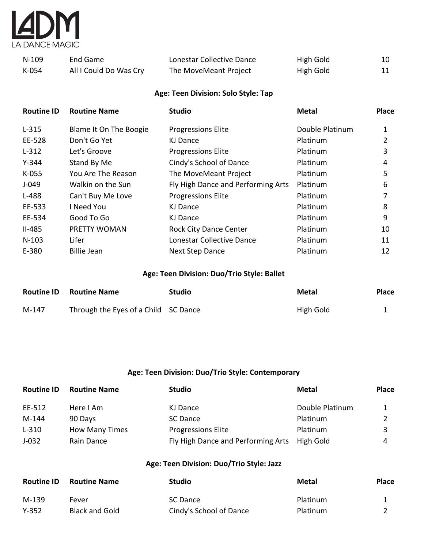

| $N-109$ | End Game               | Lonestar Collective Dance | High Gold | 10 |
|---------|------------------------|---------------------------|-----------|----|
| K-054   | All I Could Do Was Cry | The MoveMeant Project     | High Gold | 11 |

# **Age: Teen Division: Solo Style: Tap**

| <b>Routine ID</b> | <b>Routine Name</b>           | <b>Studio</b>                      | <b>Metal</b>    | <b>Place</b> |
|-------------------|-------------------------------|------------------------------------|-----------------|--------------|
| $L-315$           | <b>Blame It On The Boogie</b> | <b>Progressions Elite</b>          | Double Platinum | 1            |
| EE-528            | Don't Go Yet                  | KJ Dance                           | <b>Platinum</b> | 2            |
| $L-312$           | Let's Groove                  | <b>Progressions Elite</b>          | Platinum        | 3            |
| $Y - 344$         | Stand By Me                   | Cindy's School of Dance            | Platinum        | 4            |
| $K-055$           | You Are The Reason            | The MoveMeant Project              | <b>Platinum</b> | 5            |
| $J-049$           | Walkin on the Sun             | Fly High Dance and Performing Arts | Platinum        | 6            |
| L-488             | Can't Buy Me Love             | <b>Progressions Elite</b>          | Platinum        |              |
| EE-533            | I Need You                    | <b>KJ Dance</b>                    | Platinum        | 8            |
| EE-534            | Good To Go                    | KJ Dance                           | Platinum        | 9            |
| $II-485$          | PRETTY WOMAN                  | <b>Rock City Dance Center</b>      | Platinum        | 10           |
| $N-103$           | Lifer                         | Lonestar Collective Dance          | Platinum        | 11           |
| E-380             | <b>Billie Jean</b>            | <b>Next Step Dance</b>             | Platinum        | 12           |

#### **Age: Teen Division: Duo/Trio Style: Ballet**

| <b>Routine ID</b> | <b>Routine Name</b>                  | Studio | Metal     | <b>Place</b> |
|-------------------|--------------------------------------|--------|-----------|--------------|
| M-147             | Through the Eyes of a Child SC Dance |        | High Gold |              |

#### **Age: Teen Division: Duo/Trio Style: Contemporary**

| <b>Routine ID</b> | <b>Routine Name</b>   | <b>Studio</b>                      | <b>Metal</b>    | <b>Place</b> |
|-------------------|-----------------------|------------------------------------|-----------------|--------------|
| EE-512            | Here I Am             | KJ Dance                           | Double Platinum |              |
| $M-144$           | 90 Days               | SC Dance                           | Platinum        |              |
| $L-310$           | <b>How Many Times</b> | <b>Progressions Elite</b>          | Platinum        | 3            |
| $J-032$           | Rain Dance            | Fly High Dance and Performing Arts | High Gold       | 4            |

#### **Age: Teen Division: Duo/Trio Style: Jazz**

| <b>Routine ID</b> | <b>Routine Name</b>   | <b>Studio</b>           | Metal           | <b>Place</b> |
|-------------------|-----------------------|-------------------------|-----------------|--------------|
| M-139             | Fever                 | SC Dance                | Platinum        |              |
| $Y - 352$         | <b>Black and Gold</b> | Cindy's School of Dance | <b>Platinum</b> |              |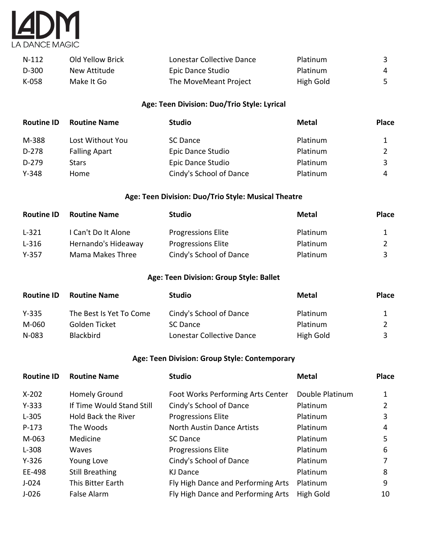

| $N-112$ | Old Yellow Brick | Lonestar Collective Dance | Platinum  |   |
|---------|------------------|---------------------------|-----------|---|
| D-300   | New Attitude     | Epic Dance Studio         | Platinum  | 4 |
| K-058   | Make It Go       | The MoveMeant Project     | High Gold |   |

# **Age: Teen Division: Duo/Trio Style: Lyrical**

| <b>Routine ID</b> | <b>Routine Name</b>  | <b>Studio</b>           | <b>Metal</b> | <b>Place</b> |
|-------------------|----------------------|-------------------------|--------------|--------------|
| M-388             | Lost Without You     | SC Dance                | Platinum     |              |
| D-278             | <b>Falling Apart</b> | Epic Dance Studio       | Platinum     |              |
| D-279             | <b>Stars</b>         | Epic Dance Studio       | Platinum     | 3            |
| $Y - 348$         | Home                 | Cindy's School of Dance | Platinum     | 4            |

# **Age: Teen Division: Duo/Trio Style: Musical Theatre**

| <b>Routine ID</b> | <b>Routine Name</b> | <b>Studio</b>             | <b>Metal</b> | <b>Place</b> |
|-------------------|---------------------|---------------------------|--------------|--------------|
| $L-321$           | I Can't Do It Alone | <b>Progressions Elite</b> | Platinum     |              |
| $L-316$           | Hernando's Hideaway | <b>Progressions Elite</b> | Platinum     |              |
| $Y-357$           | Mama Makes Three    | Cindy's School of Dance   | Platinum     |              |

#### **Age: Teen Division: Group Style: Ballet**

| <b>Routine ID</b> | <b>Routine Name</b>     | <b>Studio</b>             | Metal     | <b>Place</b> |
|-------------------|-------------------------|---------------------------|-----------|--------------|
| $Y - 335$         | The Best Is Yet To Come | Cindy's School of Dance   | Platinum  |              |
| M-060             | Golden Ticket           | SC Dance                  | Platinum  |              |
| N-083             | <b>Blackbird</b>        | Lonestar Collective Dance | High Gold |              |

#### **Age: Teen Division: Group Style: Contemporary**

| <b>Routine ID</b> | <b>Routine Name</b>        | <b>Studio</b>                      | <b>Metal</b>    | <b>Place</b> |
|-------------------|----------------------------|------------------------------------|-----------------|--------------|
| $X-202$           | Homely Ground              | Foot Works Performing Arts Center  | Double Platinum |              |
| $Y - 333$         | If Time Would Stand Still  | Cindy's School of Dance            | Platinum        |              |
| $L-305$           | <b>Hold Back the River</b> | <b>Progressions Elite</b>          | Platinum        | 3            |
| $P-173$           | The Woods                  | <b>North Austin Dance Artists</b>  | Platinum        | 4            |
| M-063             | Medicine                   | <b>SC Dance</b>                    | Platinum        | 5            |
| $L-308$           | Waves                      | <b>Progressions Elite</b>          | Platinum        | 6            |
| $Y - 326$         | Young Love                 | Cindy's School of Dance            | Platinum        |              |
| EE-498            | <b>Still Breathing</b>     | KJ Dance                           | Platinum        | 8            |
| $J-024$           | This Bitter Earth          | Fly High Dance and Performing Arts | Platinum        | 9            |
| $J-026$           | False Alarm                | Fly High Dance and Performing Arts | High Gold       | 10           |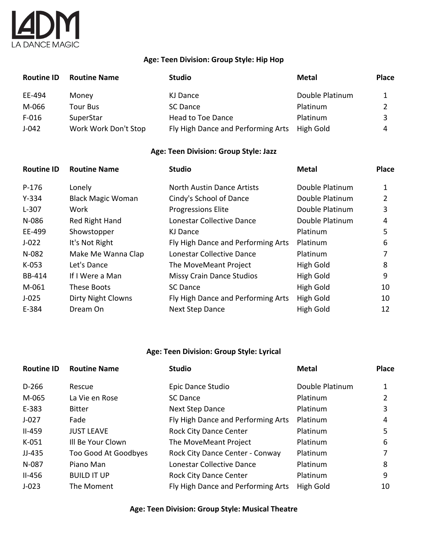# $\overline{A}$ DM LA DANCE MAGIC

#### **Age: Teen Division: Group Style: Hip Hop**

| <b>Routine ID</b> | <b>Routine Name</b>  | Studio                             | <b>Metal</b>    | <b>Place</b> |
|-------------------|----------------------|------------------------------------|-----------------|--------------|
| EE-494            | Money                | KJ Dance                           | Double Platinum |              |
| M-066             | Tour Bus             | SC Dance                           | Platinum        |              |
| $F-016$           | SuperStar            | Head to Toe Dance                  | Platinum        |              |
| $J-042$           | Work Work Don't Stop | Fly High Dance and Performing Arts | High Gold       | 4            |

#### **Age: Teen Division: Group Style: Jazz**

| <b>Routine ID</b> | <b>Routine Name</b>       | <b>Studio</b>                      | <b>Metal</b>    | <b>Place</b> |
|-------------------|---------------------------|------------------------------------|-----------------|--------------|
| $P-176$           | Lonely                    | <b>North Austin Dance Artists</b>  | Double Platinum |              |
| $Y - 334$         | <b>Black Magic Woman</b>  | Cindy's School of Dance            | Double Platinum |              |
| $L-307$           | Work                      | <b>Progressions Elite</b>          | Double Platinum | 3            |
| N-086             | Red Right Hand            | Lonestar Collective Dance          | Double Platinum | 4            |
| EE-499            | Showstopper               | KJ Dance                           | Platinum        | 5            |
| $J-022$           | It's Not Right            | Fly High Dance and Performing Arts | Platinum        | 6            |
| $N-082$           | Make Me Wanna Clap        | Lonestar Collective Dance          | Platinum        |              |
| $K-053$           | Let's Dance               | The MoveMeant Project              | High Gold       | 8            |
| BB-414            | If I Were a Man           | <b>Missy Crain Dance Studios</b>   | High Gold       | 9            |
| M-061             | These Boots               | <b>SC Dance</b>                    | High Gold       | 10           |
| $J-025$           | <b>Dirty Night Clowns</b> | Fly High Dance and Performing Arts | High Gold       | 10           |
| E-384             | Dream On                  | <b>Next Step Dance</b>             | High Gold       | 12           |

### **Age: Teen Division: Group Style: Lyrical**

| <b>Routine ID</b> | <b>Routine Name</b>  | <b>Studio</b>                      | <b>Metal</b>    | <b>Place</b> |
|-------------------|----------------------|------------------------------------|-----------------|--------------|
| $D-266$           | Rescue               | Epic Dance Studio                  | Double Platinum |              |
| M-065             | La Vie en Rose       | SC Dance                           | Platinum        |              |
| E-383             | <b>Bitter</b>        | Next Step Dance                    | Platinum        | 3            |
| $J - 027$         | Fade                 | Fly High Dance and Performing Arts | Platinum        | 4            |
| $II-459$          | <b>JUST LEAVE</b>    | <b>Rock City Dance Center</b>      | Platinum        | 5            |
| $K-051$           | Ill Be Your Clown    | The MoveMeant Project              | Platinum        | 6            |
| $JJ-435$          | Too Good At Goodbyes | Rock City Dance Center - Conway    | Platinum        |              |
| N-087             | Piano Man            | Lonestar Collective Dance          | Platinum        | 8            |
| $II-456$          | <b>BUILD IT UP</b>   | <b>Rock City Dance Center</b>      | Platinum        | 9            |
| $J-023$           | The Moment           | Fly High Dance and Performing Arts | High Gold       | 10           |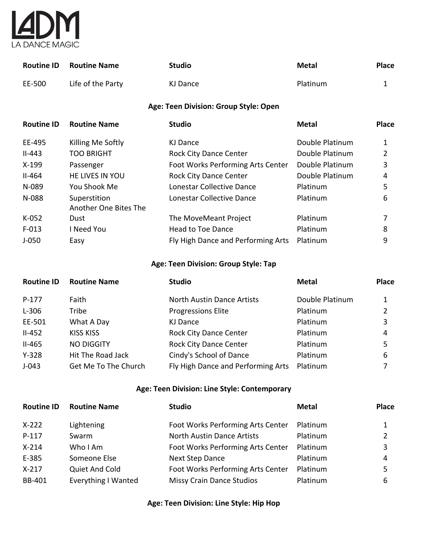

| <b>Routine ID</b> | <b>Routine Name</b>   | <b>Studio</b>                         | <b>Metal</b>    | <b>Place</b>   |
|-------------------|-----------------------|---------------------------------------|-----------------|----------------|
| EE-500            | Life of the Party     | <b>KJ Dance</b>                       | Platinum        | $\mathbf{1}$   |
|                   |                       | Age: Teen Division: Group Style: Open |                 |                |
| <b>Routine ID</b> | <b>Routine Name</b>   | <b>Studio</b>                         | <b>Metal</b>    | <b>Place</b>   |
| EE-495            | Killing Me Softly     | <b>KJ Dance</b>                       | Double Platinum | $\mathbf{1}$   |
| $II-443$          | <b>TOO BRIGHT</b>     | Rock City Dance Center                | Double Platinum | $\overline{2}$ |
| $X-199$           | Passenger             | Foot Works Performing Arts Center     | Double Platinum | 3              |
| $II-464$          | HE LIVES IN YOU       | Rock City Dance Center                | Double Platinum | 4              |
| N-089             | You Shook Me          | Lonestar Collective Dance             | Platinum        | 5              |
| N-088             | Superstition          | Lonestar Collective Dance             | Platinum        | 6              |
|                   | Another One Bites The |                                       |                 |                |
| $K-052$           | Dust                  | The MoveMeant Project                 | Platinum        | 7              |
| $F-013$           | I Need You            | <b>Head to Toe Dance</b>              | Platinum        | 8              |
| $J-050$           | Easy                  | Fly High Dance and Performing Arts    | Platinum        | 9              |
|                   |                       | Age: Teen Division: Group Style: Tap  |                 |                |
| <b>Routine ID</b> | <b>Routine Name</b>   | <b>Studio</b>                         | <b>Metal</b>    | <b>Place</b>   |
| $P-177$           | Faith                 | <b>North Austin Dance Artists</b>     | Double Platinum | $\mathbf{1}$   |
| $L-306$           | Tribe                 | <b>Progressions Elite</b>             | Platinum        | $\overline{2}$ |
| EE-501            | What A Day            | <b>KJ Dance</b>                       | Platinum        | 3              |
| $II-452$          | <b>KISS KISS</b>      | Rock City Dance Center                | Platinum        | 4              |
| $II-465$          | <b>NO DIGGITY</b>     | <b>Rock City Dance Center</b>         | Platinum        | 5              |
| $Y-328$           | Hit The Road Jack     | Cindy's School of Dance               | Platinum        | 6              |
| $J-043$           | Get Me To The Church  | Fly High Dance and Performing Arts    | Platinum        | 7              |

# **Age: Teen Division: Line Style: Contemporary**

| <b>Routine ID</b> | <b>Routine Name</b>        | <b>Studio</b>                     | Metal    | <b>Place</b> |
|-------------------|----------------------------|-----------------------------------|----------|--------------|
| $X-222$           | Lightening                 | Foot Works Performing Arts Center | Platinum |              |
| $P-117$           | Swarm                      | <b>North Austin Dance Artists</b> | Platinum |              |
| $X-214$           | Who I Am                   | Foot Works Performing Arts Center | Platinum | 3            |
| E-385             | Someone Else               | <b>Next Step Dance</b>            | Platinum | 4            |
| $X-217$           | Quiet And Cold             | Foot Works Performing Arts Center | Platinum | 5            |
| BB-401            | <b>Everything I Wanted</b> | <b>Missy Crain Dance Studios</b>  | Platinum | 6            |

# **Age: Teen Division: Line Style: Hip Hop**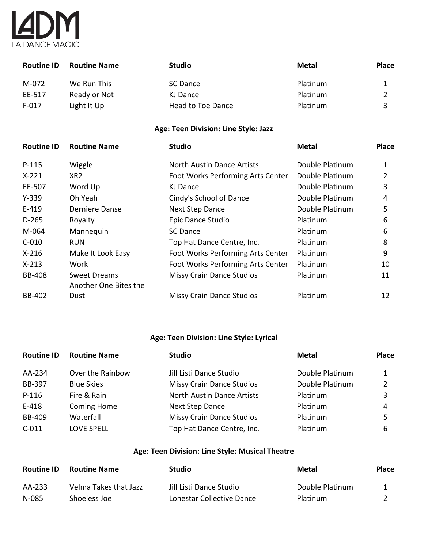

| <b>Routine ID</b> | <b>Routine Name</b>                          | <b>Studio</b>                        | <b>Metal</b>    | <b>Place</b>   |
|-------------------|----------------------------------------------|--------------------------------------|-----------------|----------------|
| M-072             | We Run This                                  | <b>SC Dance</b>                      | Platinum        | $\mathbf{1}$   |
| EE-517            | Ready or Not                                 | <b>KJ Dance</b>                      | Platinum        | $\overline{2}$ |
| $F-017$           | Light It Up                                  | <b>Head to Toe Dance</b>             | Platinum        | 3              |
|                   |                                              | Age: Teen Division: Line Style: Jazz |                 |                |
| <b>Routine ID</b> | <b>Routine Name</b>                          | <b>Studio</b>                        | <b>Metal</b>    | <b>Place</b>   |
| P-115             | Wiggle                                       | <b>North Austin Dance Artists</b>    | Double Platinum | 1              |
| $X-221$           | XR <sub>2</sub>                              | Foot Works Performing Arts Center    | Double Platinum | $\overline{2}$ |
| EE-507            | Word Up                                      | <b>KJ Dance</b>                      | Double Platinum | 3              |
| $Y-339$           | Oh Yeah                                      | Cindy's School of Dance              | Double Platinum | 4              |
| $E-419$           | Derniere Danse                               | <b>Next Step Dance</b>               | Double Platinum | 5              |
| $D-265$           | Royalty                                      | Epic Dance Studio                    | Platinum        | 6              |
| M-064             | Mannequin                                    | <b>SC Dance</b>                      | Platinum        | 6              |
| $C-010$           | <b>RUN</b>                                   | Top Hat Dance Centre, Inc.           | Platinum        | 8              |
| $X-216$           | Make It Look Easy                            | Foot Works Performing Arts Center    | Platinum        | 9              |
| $X-213$           | Work                                         | Foot Works Performing Arts Center    | Platinum        | 10             |
| <b>BB-408</b>     | <b>Sweet Dreams</b><br>Another One Bites the | <b>Missy Crain Dance Studios</b>     | Platinum        | 11             |
| <b>BB-402</b>     | Dust                                         | <b>Missy Crain Dance Studios</b>     | Platinum        | 12             |

# **Age: Teen Division: Line Style: Lyrical**

| <b>Routine ID</b> | <b>Routine Name</b> | <b>Studio</b>                    | <b>Metal</b>    | <b>Place</b>  |
|-------------------|---------------------|----------------------------------|-----------------|---------------|
| AA-234            | Over the Rainbow    | Jill Listi Dance Studio          | Double Platinum | 1             |
| BB-397            | <b>Blue Skies</b>   | <b>Missy Crain Dance Studios</b> | Double Platinum | $\mathcal{P}$ |
| $P-116$           | Fire & Rain         | North Austin Dance Artists       | Platinum        | 3             |
| E-418             | <b>Coming Home</b>  | <b>Next Step Dance</b>           | Platinum        | 4             |
| <b>BB-409</b>     | Waterfall           | <b>Missy Crain Dance Studios</b> | Platinum        | 5             |
| $C-011$           | <b>LOVE SPELL</b>   | Top Hat Dance Centre, Inc.       | Platinum        | 6             |

# **Age: Teen Division: Line Style: Musical Theatre**

| <b>Routine ID</b> | <b>Routine Name</b>   | <b>Studio</b>             | Metal           | <b>Place</b> |
|-------------------|-----------------------|---------------------------|-----------------|--------------|
| AA-233            | Velma Takes that Jazz | Jill Listi Dance Studio   | Double Platinum |              |
| N-085             | Shoeless Joe          | Lonestar Collective Dance | Platinum        |              |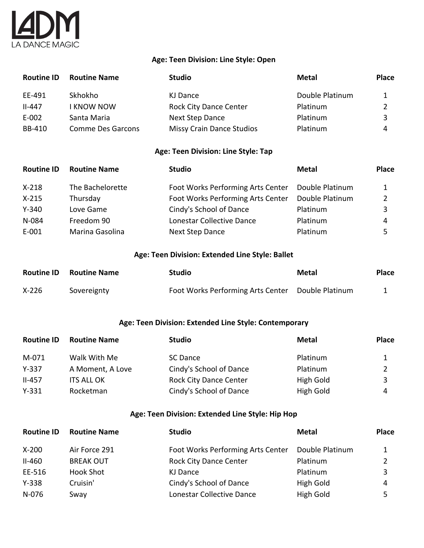# Y A DANCE MAGIC

#### **Age: Teen Division: Line Style: Open**

| <b>Routine ID</b> | <b>Routine Name</b>      | <b>Studio</b>                    | <b>Metal</b>    | <b>Place</b> |
|-------------------|--------------------------|----------------------------------|-----------------|--------------|
| EE-491            | Skhokho                  | KJ Dance                         | Double Platinum |              |
| $II-447$          | <b>I KNOW NOW</b>        | <b>Rock City Dance Center</b>    | Platinum        |              |
| $E-002$           | Santa Maria              | <b>Next Step Dance</b>           | Platinum        |              |
| BB-410            | <b>Comme Des Garcons</b> | <b>Missy Crain Dance Studios</b> | Platinum        | 4            |

#### **Age: Teen Division: Line Style: Tap**

| <b>Routine ID</b> | <b>Routine Name</b> | <b>Studio</b>                     | <b>Metal</b>    | <b>Place</b> |
|-------------------|---------------------|-----------------------------------|-----------------|--------------|
| $X-218$           | The Bachelorette    | Foot Works Performing Arts Center | Double Platinum | 1            |
| $X-215$           | Thursday            | Foot Works Performing Arts Center | Double Platinum |              |
| $Y - 340$         | Love Game           | Cindy's School of Dance           | Platinum        | 3            |
| N-084             | Freedom 90          | Lonestar Collective Dance         | Platinum        | 4            |
| E-001             | Marina Gasolina     | Next Step Dance                   | Platinum        |              |

#### **Age: Teen Division: Extended Line Style: Ballet**

| <b>Routine ID</b> | <b>Routine Name</b> | Studio                                            | Metal | <b>Place</b> |
|-------------------|---------------------|---------------------------------------------------|-------|--------------|
| $X-226$           | Sovereignty         | Foot Works Performing Arts Center Double Platinum |       |              |

#### **Age: Teen Division: Extended Line Style: Contemporary**

| <b>Routine ID</b> | <b>Routine Name</b> | <b>Studio</b>                 | <b>Metal</b> | <b>Place</b> |
|-------------------|---------------------|-------------------------------|--------------|--------------|
| M-071             | Walk With Me        | SC Dance                      | Platinum     |              |
| $Y-337$           | A Moment, A Love    | Cindy's School of Dance       | Platinum     |              |
| $II-457$          | <b>ITS ALL OK</b>   | <b>Rock City Dance Center</b> | High Gold    | 3            |
| $Y - 331$         | Rocketman           | Cindy's School of Dance       | High Gold    | 4            |

#### **Age: Teen Division: Extended Line Style: Hip Hop**

| <b>Routine ID</b> | <b>Routine Name</b> | <b>Studio</b>                     | <b>Metal</b>    | <b>Place</b> |
|-------------------|---------------------|-----------------------------------|-----------------|--------------|
| $X-200$           | Air Force 291       | Foot Works Performing Arts Center | Double Platinum |              |
| $II-460$          | <b>BREAK OUT</b>    | <b>Rock City Dance Center</b>     | Platinum        |              |
| EE-516            | Hook Shot           | KJ Dance                          | Platinum        |              |
| $Y-338$           | Cruisin'            | Cindy's School of Dance           | High Gold       | 4            |
| N-076             | Sway                | Lonestar Collective Dance         | High Gold       |              |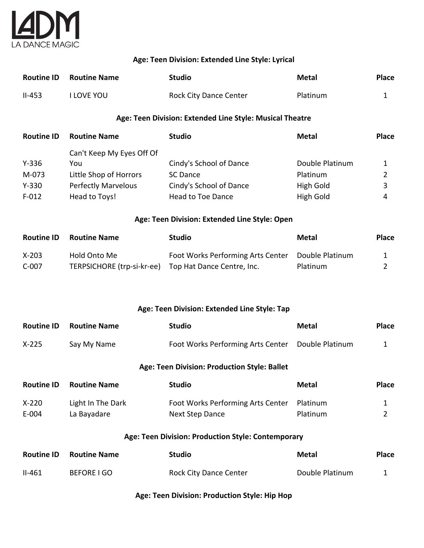

#### **Age: Teen Division: Extended Line Style: Lyrical**

|          | <b>Routine ID Routine Name</b> | <b>Studio</b>                 | Metal           | <b>Place</b> |
|----------|--------------------------------|-------------------------------|-----------------|--------------|
| $II-453$ | ' LOVE YOU                     | <b>Rock City Dance Center</b> | <b>Platinum</b> |              |

#### **Age: Teen Division: Extended Line Style: Musical Theatre**

| <b>Routine ID</b> | <b>Routine Name</b>        | <b>Studio</b>           | <b>Metal</b>    | <b>Place</b> |
|-------------------|----------------------------|-------------------------|-----------------|--------------|
|                   | Can't Keep My Eyes Off Of  |                         |                 |              |
| $Y - 336$         | You                        | Cindy's School of Dance | Double Platinum |              |
| M-073             | Little Shop of Horrors     | SC Dance                | Platinum        |              |
| $Y - 330$         | <b>Perfectly Marvelous</b> | Cindy's School of Dance | High Gold       | 3            |
| $F-012$           | Head to Toys!              | Head to Toe Dance       | High Gold       | 4            |

#### **Age: Teen Division: Extended Line Style: Open**

| <b>Routine ID</b> | <b>Routine Name</b>        | <b>Studio</b>                     | Metal           | <b>Place</b> |
|-------------------|----------------------------|-----------------------------------|-----------------|--------------|
| $X-203$           | Hold Onto Me               | Foot Works Performing Arts Center | Double Platinum |              |
| C-007             | TERPSICHORE (trp-si-kr-ee) | Top Hat Dance Centre, Inc.        | Platinum        |              |

#### **Age: Teen Division: Extended Line Style: Tap**

| <b>Routine ID</b> | <b>Routine Name</b> | Studio                                            | Metal | <b>Place</b> |
|-------------------|---------------------|---------------------------------------------------|-------|--------------|
| $X-225$           | Say My Name         | Foot Works Performing Arts Center Double Platinum |       |              |

#### **Age: Teen Division: Production Style: Ballet**

| <b>Routine ID</b> | <b>Routine Name</b> | <b>Studio</b>                     | Metal    | <b>Place</b> |
|-------------------|---------------------|-----------------------------------|----------|--------------|
| $X-220$           | Light In The Dark   | Foot Works Performing Arts Center | Platinum |              |
| E-004             | La Bayadare         | Next Step Dance                   | Platinum |              |

#### **Age: Teen Division: Production Style: Contemporary**

| <b>Routine ID</b> | <b>Routine Name</b> | <b>Studio</b>                 | Metal           | <b>Place</b> |
|-------------------|---------------------|-------------------------------|-----------------|--------------|
| $II-461$          | BEFORE LGO          | <b>Rock City Dance Center</b> | Double Platinum |              |

#### **Age: Teen Division: Production Style: Hip Hop**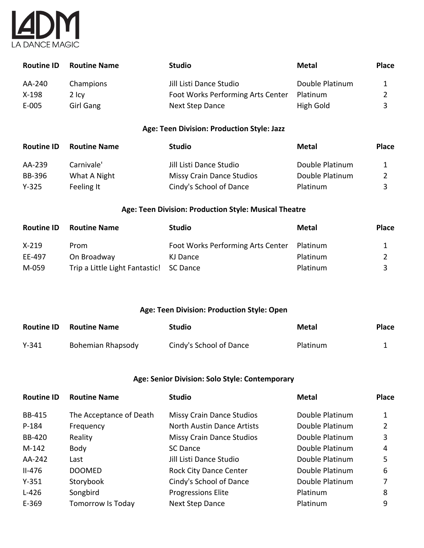

| <b>Routine ID</b> | <b>Routine Name</b> | <b>Studio</b>                     | Metal           | <b>Place</b> |
|-------------------|---------------------|-----------------------------------|-----------------|--------------|
| AA-240            | Champions           | Jill Listi Dance Studio           | Double Platinum |              |
| $X-198$           | 2 Icv               | Foot Works Performing Arts Center | Platinum        |              |
| E-005             | Girl Gang           | <b>Next Step Dance</b>            | High Gold       | ₹            |

#### **Age: Teen Division: Production Style: Jazz**

| <b>Routine ID</b> | <b>Routine Name</b> | <b>Studio</b>                    | Metal           | <b>Place</b> |
|-------------------|---------------------|----------------------------------|-----------------|--------------|
| AA-239            | Carnivale'          | Jill Listi Dance Studio          | Double Platinum |              |
| BB-396            | What A Night        | <b>Missy Crain Dance Studios</b> | Double Platinum |              |
| Y-325             | Feeling It          | Cindy's School of Dance          | Platinum        | ર            |

#### **Age: Teen Division: Production Style: Musical Theatre**

| <b>Routine ID</b> | <b>Routine Name</b>                     | <b>Studio</b>                     | Metal    | <b>Place</b> |
|-------------------|-----------------------------------------|-----------------------------------|----------|--------------|
| $X-219$           | Prom                                    | Foot Works Performing Arts Center | Platinum |              |
| EE-497            | On Broadway                             | KJ Dance                          | Platinum |              |
| M-059             | Trip a Little Light Fantastic! SC Dance |                                   | Platinum |              |

#### **Age: Teen Division: Production Style: Open**

| <b>Routine ID</b> | <b>Routine Name</b> | <b>Studio</b>           | Metal    | <b>Place</b> |
|-------------------|---------------------|-------------------------|----------|--------------|
| $Y - 341$         | Bohemian Rhapsody   | Cindy's School of Dance | Platinum |              |

#### **Age: Senior Division: Solo Style: Contemporary**

| <b>Routine ID</b> | <b>Routine Name</b>     | <b>Studio</b>                     | <b>Metal</b>    | <b>Place</b> |
|-------------------|-------------------------|-----------------------------------|-----------------|--------------|
| <b>BB-415</b>     | The Acceptance of Death | <b>Missy Crain Dance Studios</b>  | Double Platinum |              |
| P-184             | Frequency               | <b>North Austin Dance Artists</b> | Double Platinum |              |
| <b>BB-420</b>     | Reality                 | <b>Missy Crain Dance Studios</b>  | Double Platinum | 3            |
| $M-142$           | Body                    | SC Dance                          | Double Platinum | 4            |
| AA-242            | Last                    | Jill Listi Dance Studio           | Double Platinum | 5.           |
| $II-476$          | <b>DOOMED</b>           | <b>Rock City Dance Center</b>     | Double Platinum | 6            |
| $Y - 351$         | Storybook               | Cindy's School of Dance           | Double Platinum |              |
| $L-426$           | Songbird                | <b>Progressions Elite</b>         | Platinum        | 8            |
| E-369             | Tomorrow Is Today       | <b>Next Step Dance</b>            | Platinum        | 9            |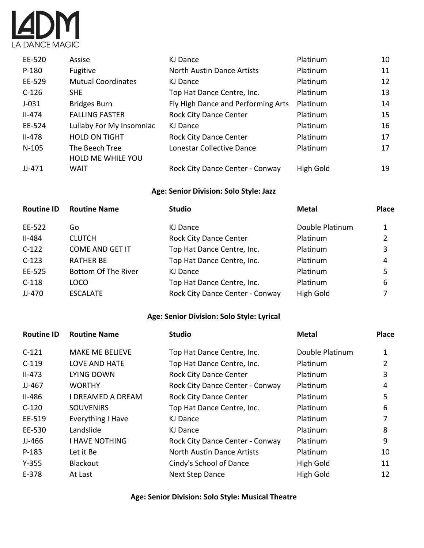

| EE-520     | Assise                    | KJ Dance                           | Platinum  | 10 |
|------------|---------------------------|------------------------------------|-----------|----|
| $P-180$    | Fugitive                  | <b>North Austin Dance Artists</b>  | Platinum  | 11 |
| EE-529     | <b>Mutual Coordinates</b> | KJ Dance                           | Platinum  | 12 |
| $C-126$    | <b>SHE</b>                | Top Hat Dance Centre, Inc.         | Platinum  | 13 |
| $J-031$    | <b>Bridges Burn</b>       | Fly High Dance and Performing Arts | Platinum  | 14 |
| $II - 474$ | <b>FALLING FASTER</b>     | <b>Rock City Dance Center</b>      | Platinum  | 15 |
| EE-524     | Lullaby For My Insomniac  | KJ Dance                           | Platinum  | 16 |
| $II-478$   | <b>HOLD ON TIGHT</b>      | <b>Rock City Dance Center</b>      | Platinum  | 17 |
| $N-105$    | The Beech Tree            | Lonestar Collective Dance          | Platinum  | 17 |
|            | <b>HOLD ME WHILE YOU</b>  |                                    |           |    |
| $JJ-471$   | <b>WAIT</b>               | Rock City Dance Center - Conway    | High Gold | 19 |

#### **Age: Senior Division: Solo Style: Jazz**

| <b>Routine ID</b> | <b>Routine Name</b>        | <b>Studio</b>                   | <b>Metal</b>    | <b>Place</b> |
|-------------------|----------------------------|---------------------------------|-----------------|--------------|
| EE-522            | Go                         | KJ Dance                        | Double Platinum |              |
| <b>II-484</b>     | <b>CLUTCH</b>              | <b>Rock City Dance Center</b>   | Platinum        | 2            |
| $C-122$           | <b>COME AND GET IT</b>     | Top Hat Dance Centre, Inc.      | Platinum        | 3            |
| $C-123$           | <b>RATHER BE</b>           | Top Hat Dance Centre, Inc.      | Platinum        | 4            |
| EE-525            | <b>Bottom Of The River</b> | KJ Dance                        | Platinum        | 5            |
| $C-118$           | LOCO                       | Top Hat Dance Centre, Inc.      | Platinum        | 6            |
| JJ-470            | <b>ESCALATE</b>            | Rock City Dance Center - Conway | High Gold       |              |

# **Age: Senior Division: Solo Style: Lyrical**

| <b>Routine ID</b> | <b>Routine Name</b>      | <b>Studio</b>                     | <b>Metal</b>    | <b>Place</b> |
|-------------------|--------------------------|-----------------------------------|-----------------|--------------|
| $C-121$           | <b>MAKE ME BELIEVE</b>   | Top Hat Dance Centre, Inc.        | Double Platinum | 1            |
| $C-119$           | <b>LOVE AND HATE</b>     | Top Hat Dance Centre, Inc.        | Platinum        | 2            |
| $II-473$          | LYING DOWN               | <b>Rock City Dance Center</b>     | Platinum        | 3            |
| $JJ-467$          | <b>WORTHY</b>            | Rock City Dance Center - Conway   | Platinum        | 4            |
| $II-486$          | I DREAMED A DREAM        | <b>Rock City Dance Center</b>     | Platinum        | 5            |
| $C-120$           | <b>SOUVENIRS</b>         | Top Hat Dance Centre, Inc.        | Platinum        | 6            |
| EE-519            | <b>Everything I Have</b> | KJ Dance                          | Platinum        | 7            |
| EE-530            | Landslide                | KJ Dance                          | Platinum        | 8            |
| JJ-466            | <b>I HAVE NOTHING</b>    | Rock City Dance Center - Conway   | Platinum        | 9            |
| $P-183$           | Let it Be                | <b>North Austin Dance Artists</b> | Platinum        | 10           |
| $Y - 355$         | Blackout                 | Cindy's School of Dance           | High Gold       | 11           |
| $E-378$           | At Last                  | <b>Next Step Dance</b>            | High Gold       | 12           |

**Age: Senior Division: Solo Style: Musical Theatre**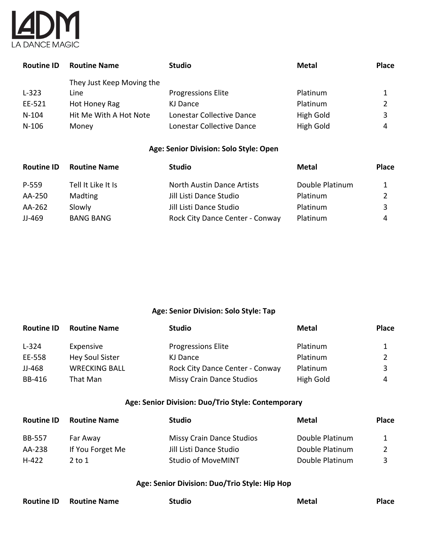

| <b>Routine ID</b> | <b>Routine Name</b>       | <b>Studio</b>             | <b>Metal</b> | <b>Place</b> |
|-------------------|---------------------------|---------------------------|--------------|--------------|
|                   | They Just Keep Moving the |                           |              |              |
| $L-323$           | Line                      | <b>Progressions Elite</b> | Platinum     |              |
| EE-521            | Hot Honey Rag             | KJ Dance                  | Platinum     |              |
| $N-104$           | Hit Me With A Hot Note    | Lonestar Collective Dance | High Gold    |              |
| $N-106$           | Money                     | Lonestar Collective Dance | High Gold    | 4            |

#### **Age: Senior Division: Solo Style: Open**

| <b>Routine ID</b> | <b>Routine Name</b> | <b>Studio</b>                   | Metal           | <b>Place</b> |
|-------------------|---------------------|---------------------------------|-----------------|--------------|
| P-559             | Tell It Like It Is  | North Austin Dance Artists      | Double Platinum |              |
| AA-250            | <b>Madting</b>      | Jill Listi Dance Studio         | Platinum        |              |
| AA-262            | Slowly              | Jill Listi Dance Studio         | Platinum        |              |
| JJ-469            | <b>BANG BANG</b>    | Rock City Dance Center - Conway | <b>Platinum</b> | 4            |

### **Age: Senior Division: Solo Style: Tap**

| <b>Routine ID</b> | <b>Routine Name</b>    | <b>Studio</b>                    | Metal     | <b>Place</b> |
|-------------------|------------------------|----------------------------------|-----------|--------------|
| $L-324$           | Expensive              | <b>Progressions Elite</b>        | Platinum  |              |
| EE-558            | <b>Hey Soul Sister</b> | KJ Dance                         | Platinum  |              |
| JJ-468            | <b>WRECKING BALL</b>   | Rock City Dance Center - Conway  | Platinum  |              |
| <b>BB-416</b>     | That Man               | <b>Missy Crain Dance Studios</b> | High Gold | 4            |

# **Age: Senior Division: Duo/Trio Style: Contemporary**

| <b>Routine ID</b> | <b>Routine Name</b> | <b>Studio</b>                    | Metal           | <b>Place</b> |
|-------------------|---------------------|----------------------------------|-----------------|--------------|
| <b>BB-557</b>     | Far Away            | <b>Missy Crain Dance Studios</b> | Double Platinum |              |
| AA-238            | If You Forget Me    | Jill Listi Dance Studio          | Double Platinum |              |
| $H-422$           | 2 to 1              | <b>Studio of MoveMINT</b>        | Double Platinum |              |

#### **Age: Senior Division: Duo/Trio Style: Hip Hop**

| <b>Routine ID Routine Name</b> | <b>Studio</b> | Metal | <b>Place</b> |
|--------------------------------|---------------|-------|--------------|
|                                |               |       |              |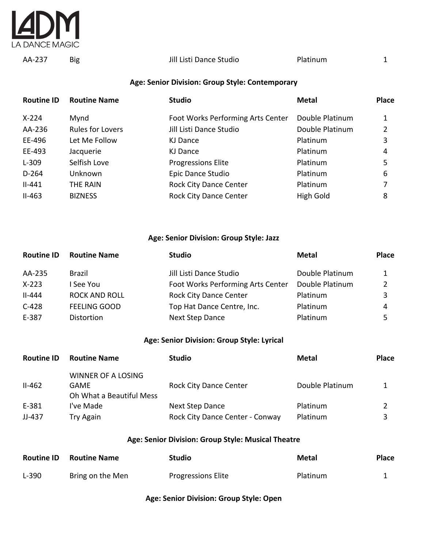

AA-237 Big Jill Listi Dance Studio Platinum 1

#### **Age: Senior Division: Group Style: Contemporary**

| <b>Routine ID</b> | <b>Routine Name</b>     | <b>Studio</b>                     | <b>Metal</b>     | <b>Place</b> |
|-------------------|-------------------------|-----------------------------------|------------------|--------------|
| $X-224$           | Mynd                    | Foot Works Performing Arts Center | Double Platinum  |              |
| AA-236            | <b>Rules for Lovers</b> | Jill Listi Dance Studio           | Double Platinum  | 2            |
| EE-496            | Let Me Follow           | KJ Dance                          | Platinum         | 3            |
| EE-493            | Jacquerie               | KJ Dance                          | Platinum         | 4            |
| $L-309$           | Selfish Love            | <b>Progressions Elite</b>         | Platinum         | 5            |
| $D-264$           | Unknown                 | Epic Dance Studio                 | Platinum         | 6            |
| $II-441$          | THE RAIN                | <b>Rock City Dance Center</b>     | Platinum         |              |
| $II-463$          | <b>BIZNESS</b>          | <b>Rock City Dance Center</b>     | <b>High Gold</b> | 8            |

#### **Age: Senior Division: Group Style: Jazz**

| <b>Routine Name</b>  | <b>Studio</b>                     | <b>Metal</b>    | <b>Place</b> |
|----------------------|-----------------------------------|-----------------|--------------|
| Brazil               | Jill Listi Dance Studio           | Double Platinum | 1            |
| See You              | Foot Works Performing Arts Center | Double Platinum |              |
| <b>ROCK AND ROLL</b> | <b>Rock City Dance Center</b>     | Platinum        | 3            |
| <b>FEELING GOOD</b>  | Top Hat Dance Centre, Inc.        | Platinum        | 4            |
| Distortion           | <b>Next Step Dance</b>            | Platinum        |              |
|                      |                                   |                 |              |

#### **Age: Senior Division: Group Style: Lyrical**

| <b>Routine ID</b> | <b>Routine Name</b>                                    | <b>Studio</b>                   | Metal           | <b>Place</b> |
|-------------------|--------------------------------------------------------|---------------------------------|-----------------|--------------|
| $II-462$          | WINNER OF A LOSING<br>GAME<br>Oh What a Beautiful Mess | <b>Rock City Dance Center</b>   | Double Platinum |              |
| E-381             | I've Made                                              | <b>Next Step Dance</b>          | Platinum        |              |
| JJ-437            | Try Again                                              | Rock City Dance Center - Conway | Platinum        |              |

#### **Age: Senior Division: Group Style: Musical Theatre**

| <b>Routine ID</b> | <b>Routine Name</b> | <b>Studio</b>             | Metal           | <b>Place</b> |
|-------------------|---------------------|---------------------------|-----------------|--------------|
| $L-390$           | Bring on the Men    | <b>Progressions Elite</b> | <b>Platinum</b> |              |

#### **Age: Senior Division: Group Style: Open**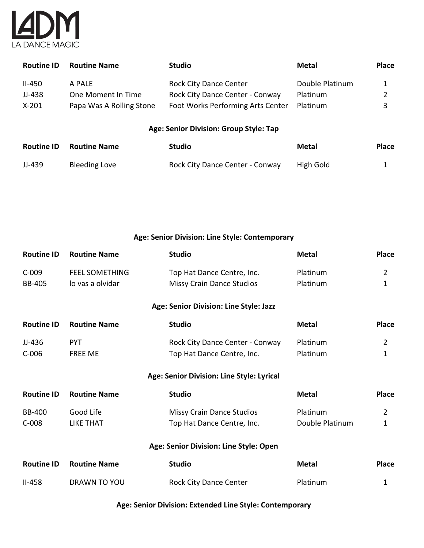

| <b>Routine ID</b> | <b>Routine Name</b>      | <b>Studio</b>                          | Metal           | <b>Place</b> |
|-------------------|--------------------------|----------------------------------------|-----------------|--------------|
| $II-450$          | A PALE                   | <b>Rock City Dance Center</b>          | Double Platinum | 1            |
| JJ-438            | One Moment In Time       | Rock City Dance Center - Conway        | Platinum        | 2            |
| $X-201$           | Papa Was A Rolling Stone | Foot Works Performing Arts Center      | Platinum        | 3            |
|                   |                          | Age: Senior Division: Group Style: Tap |                 |              |
| <b>Routine ID</b> | <b>Routine Name</b>      | <b>Studio</b>                          | <b>Metal</b>    | <b>Place</b> |
| JJ-439            | <b>Bleeding Love</b>     | Rock City Dance Center - Conway        | High Gold       | 1            |

**Age: Senior Division: Line Style: Contemporary**

| <b>Routine ID</b> | <b>Routine Name</b>   | <b>Studio</b>                             | <b>Metal</b>    | <b>Place</b>   |
|-------------------|-----------------------|-------------------------------------------|-----------------|----------------|
| $C-009$           | <b>FEEL SOMETHING</b> | Top Hat Dance Centre, Inc.                | Platinum        | $\overline{2}$ |
| <b>BB-405</b>     | lo vas a olvidar      | <b>Missy Crain Dance Studios</b>          | Platinum        | 1              |
|                   |                       | Age: Senior Division: Line Style: Jazz    |                 |                |
| <b>Routine ID</b> | <b>Routine Name</b>   | <b>Studio</b>                             | <b>Metal</b>    | <b>Place</b>   |
| JJ-436            | <b>PYT</b>            | Rock City Dance Center - Conway           | Platinum        | $\overline{2}$ |
| $C-006$           | <b>FREE ME</b>        | Top Hat Dance Centre, Inc.                | Platinum        | 1              |
|                   |                       | Age: Senior Division: Line Style: Lyrical |                 |                |
| <b>Routine ID</b> | <b>Routine Name</b>   | <b>Studio</b>                             | <b>Metal</b>    | <b>Place</b>   |
| <b>BB-400</b>     | Good Life             | <b>Missy Crain Dance Studios</b>          | Platinum        | $\overline{2}$ |
| $C-008$           | <b>LIKE THAT</b>      | Top Hat Dance Centre, Inc.                | Double Platinum | $\mathbf{1}$   |
|                   |                       | Age: Senior Division: Line Style: Open    |                 |                |
| <b>Routine ID</b> | <b>Routine Name</b>   | <b>Studio</b>                             | <b>Metal</b>    | <b>Place</b>   |
| $II-458$          | DRAWN TO YOU          | <b>Rock City Dance Center</b>             | Platinum        | 1              |

**Age: Senior Division: Extended Line Style: Contemporary**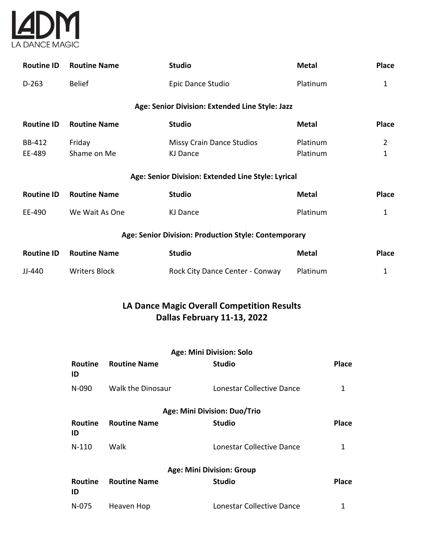

| <b>Routine Name</b>                                  | <b>Studio</b>                                | <b>Metal</b>         | <b>Place</b>                                                                                          |  |  |
|------------------------------------------------------|----------------------------------------------|----------------------|-------------------------------------------------------------------------------------------------------|--|--|
| <b>Belief</b>                                        | Epic Dance Studio                            | Platinum             | $\mathbf{1}$                                                                                          |  |  |
|                                                      |                                              |                      |                                                                                                       |  |  |
| <b>Routine Name</b>                                  | <b>Studio</b>                                | <b>Metal</b>         | <b>Place</b>                                                                                          |  |  |
| Friday<br>Shame on Me                                | <b>Missy Crain Dance Studios</b><br>KJ Dance | Platinum<br>Platinum | $\overline{2}$<br>$\mathbf{1}$                                                                        |  |  |
|                                                      |                                              |                      |                                                                                                       |  |  |
| <b>Routine Name</b>                                  | <b>Studio</b>                                | <b>Metal</b>         | Place                                                                                                 |  |  |
| We Wait As One                                       | <b>KJ Dance</b>                              | Platinum             | $\mathbf 1$                                                                                           |  |  |
| Age: Senior Division: Production Style: Contemporary |                                              |                      |                                                                                                       |  |  |
| <b>Routine Name</b>                                  | <b>Studio</b>                                | <b>Metal</b>         | <b>Place</b>                                                                                          |  |  |
| <b>Writers Block</b>                                 | Rock City Dance Center - Conway              | Platinum             | $\mathbf 1$                                                                                           |  |  |
|                                                      |                                              |                      | Age: Senior Division: Extended Line Style: Jazz<br>Age: Senior Division: Extended Line Style: Lyrical |  |  |

# **LA Dance Magic Overall Competition Results Dallas February 11-13, 2022**

|                      |                     | <b>Age: Mini Division: Solo</b>  |              |
|----------------------|---------------------|----------------------------------|--------------|
| <b>Routine</b><br>ID | <b>Routine Name</b> | <b>Studio</b>                    | <b>Place</b> |
| N-090                | Walk the Dinosaur   | Lonestar Collective Dance        |              |
|                      |                     | Age: Mini Division: Duo/Trio     |              |
| Routine<br>ID        | <b>Routine Name</b> | <b>Studio</b>                    | <b>Place</b> |
| $N-110$              | Walk                | Lonestar Collective Dance        | 1            |
|                      |                     | <b>Age: Mini Division: Group</b> |              |
| Routine<br>ID        | <b>Routine Name</b> | <b>Studio</b>                    | <b>Place</b> |
| N-075                | Heaven Hop          | Lonestar Collective Dance        |              |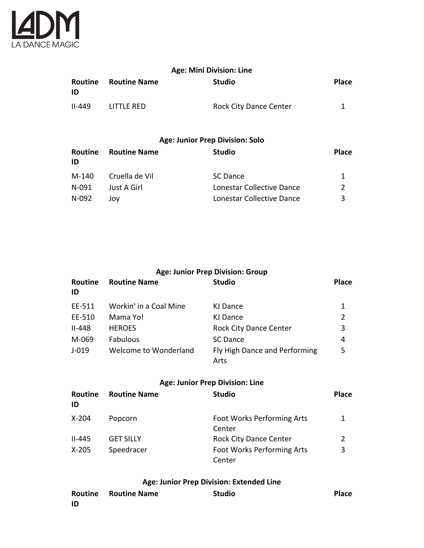

| <b>Age: Mini Division: Line</b> |                     |                               |              |
|---------------------------------|---------------------|-------------------------------|--------------|
| Routine<br>ID                   | <b>Routine Name</b> | <b>Studio</b>                 | <b>Place</b> |
| $II - 449$                      | LITTLE RED          | <b>Rock City Dance Center</b> |              |

#### **Age: Junior Prep Division: Solo**

| Routine<br>ID | <b>Routine Name</b> | <b>Studio</b>             | <b>Place</b> |
|---------------|---------------------|---------------------------|--------------|
| M-140         | Cruella de Vil      | SC Dance                  |              |
| N-091         | Just A Girl         | Lonestar Collective Dance |              |
| N-092         | JOV                 | Lonestar Collective Dance | 3            |

| Age: Junior Prep Division: Group |                        |                                       |              |
|----------------------------------|------------------------|---------------------------------------|--------------|
| Routine<br>ID                    | <b>Routine Name</b>    | <b>Studio</b>                         | <b>Place</b> |
| EE-511                           | Workin' in a Coal Mine | KJ Dance                              | 1            |
| EE-510                           | Mama Yo!               | KJ Dance                              | 2            |
| $II-448$                         | <b>HEROES</b>          | <b>Rock City Dance Center</b>         | 3            |
| M-069                            | <b>Fabulous</b>        | <b>SC</b> Dance                       | 4            |
| $J - 019$                        | Welcome to Wonderland  | Fly High Dance and Performing<br>Arts | 5            |

# **Age: Junior Prep Division: Line**

| Routine<br>ID | <b>Routine Name</b> | <b>Studio</b>                               | <b>Place</b>  |
|---------------|---------------------|---------------------------------------------|---------------|
| X-204         | Popcorn             | Foot Works Performing Arts<br>Center        |               |
| $II-445$      | <b>GET SILLY</b>    | <b>Rock City Dance Center</b>               | $\mathcal{P}$ |
| X-205         | Speedracer          | <b>Foot Works Performing Arts</b><br>Center | 3             |

# **Age: Junior Prep Division: Extended Line**

|    | <b>Routine Routine Name</b> | <b>Studio</b> | <b>Place</b> |
|----|-----------------------------|---------------|--------------|
| ID |                             |               |              |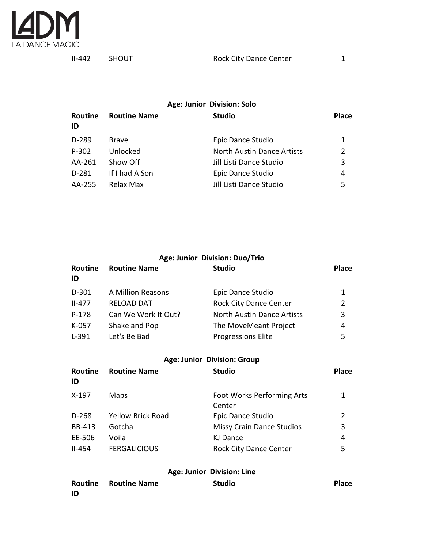

# **Age: Junior Division: Solo Routine Routine Name Studio Place ID** D-289 Brave **Epic Dance Studio** 1 P-302 Unlocked North Austin Dance Artists 2 AA-261 Show Off Jill Listi Dance Studio 3 D-281 If I had A Son Epic Dance Studio 4 AA-255 Relax Max Jill Listi Dance Studio 5

|                      |                          | Age: Junior Division: Duo/Trio       |                |
|----------------------|--------------------------|--------------------------------------|----------------|
| <b>Routine</b><br>ID | <b>Routine Name</b>      | <b>Studio</b>                        | <b>Place</b>   |
| $D-301$              | A Million Reasons        | Epic Dance Studio                    | 1              |
| $II-477$             | <b>RELOAD DAT</b>        | <b>Rock City Dance Center</b>        | $\overline{2}$ |
| $P-178$              | Can We Work It Out?      | <b>North Austin Dance Artists</b>    | 3              |
| K-057                | Shake and Pop            | The MoveMeant Project                | 4              |
| $L-391$              | Let's Be Bad             | <b>Progressions Elite</b>            | 5              |
|                      |                          | <b>Age: Junior Division: Group</b>   |                |
| Routine<br>ID        | <b>Routine Name</b>      | <b>Studio</b>                        | <b>Place</b>   |
| X-197                | Maps                     | Foot Works Performing Arts<br>Center | 1              |
| $D-268$              | <b>Yellow Brick Road</b> | Epic Dance Studio                    | 2              |
| <b>BB-413</b>        | Gotcha                   | Missy Crain Dance Studios            | 3              |
| EE-506               | Voila                    | <b>KJ Dance</b>                      | 4              |
| $II-454$             | <b>FERGALICIOUS</b>      | <b>Rock City Dance Center</b>        | 5              |
|                      |                          | Age: Junior Division: Line           |                |

|      | <b>Routine Routine Name</b> | <b>Studio</b> | <b>Place</b> |
|------|-----------------------------|---------------|--------------|
| - ID |                             |               |              |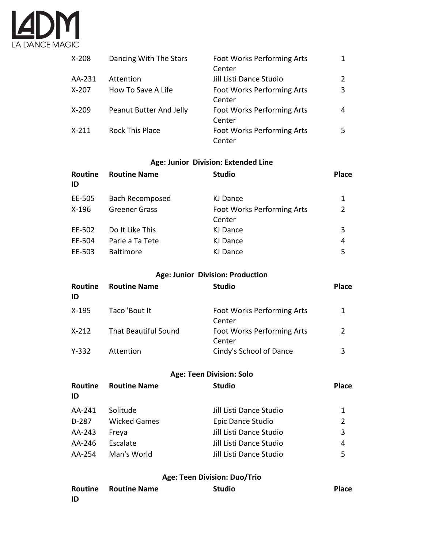

| $X-208$   | Dancing With The Stars  | <b>Foot Works Performing Arts</b><br>Center | $\mathbf{1}$ |
|-----------|-------------------------|---------------------------------------------|--------------|
| AA-231    | Attention               | Jill Listi Dance Studio                     | 2            |
| $X-207$   | How To Save A Life      | <b>Foot Works Performing Arts</b>           | 3            |
|           |                         | Center                                      |              |
| $X-209$   | Peanut Butter And Jelly | <b>Foot Works Performing Arts</b>           | 4            |
|           |                         | Center                                      |              |
| $X - 211$ | <b>Rock This Place</b>  | Foot Works Performing Arts                  | 5.           |
|           |                         | Center                                      |              |

#### **Age: Junior Division: Extended Line**

| Routine<br>ID | <b>Routine Name</b>    | <b>Studio</b>                               | <b>Place</b> |
|---------------|------------------------|---------------------------------------------|--------------|
| EE-505        | <b>Bach Recomposed</b> | KJ Dance                                    | 1            |
| $X-196$       | <b>Greener Grass</b>   | <b>Foot Works Performing Arts</b><br>Center | 2            |
| EE-502        | Do It Like This        | KJ Dance                                    | 3            |
| EE-504        | Parle a Ta Tete        | KJ Dance                                    | 4            |
| EE-503        | <b>Baltimore</b>       | KJ Dance                                    | 5            |

#### **Age: Junior Division: Production**

| Routine<br>ID | <b>Routine Name</b>         | <b>Studio</b>                        | <b>Place</b> |
|---------------|-----------------------------|--------------------------------------|--------------|
| X-195         | Taco 'Bout It               | Foot Works Performing Arts<br>Center | 1            |
| $X-212$       | <b>That Beautiful Sound</b> | Foot Works Performing Arts<br>Center | 2            |
| Y-332         | Attention                   | Cindy's School of Dance              | 3            |

#### **Age: Teen Division: Solo**

| <b>Routine Name</b> | <b>Studio</b>           | <b>Place</b> |
|---------------------|-------------------------|--------------|
| Solitude            | Jill Listi Dance Studio | 1            |
| <b>Wicked Games</b> | Epic Dance Studio       | 2            |
| Freya               | Jill Listi Dance Studio | 3            |
| Escalate            | Jill Listi Dance Studio | 4            |
| Man's World         | Jill Listi Dance Studio | 5            |
|                     |                         |              |

#### **Age: Teen Division: Duo/Trio**

|    | <b>Routine Routine Name</b> | <b>Studio</b> | <b>Place</b> |
|----|-----------------------------|---------------|--------------|
| ID |                             |               |              |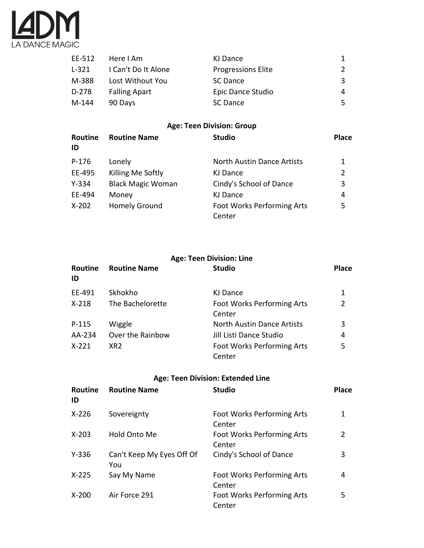

| EE-512 | Here I Am            | KJ Dance                  |    |
|--------|----------------------|---------------------------|----|
| L-321  | I Can't Do It Alone  | <b>Progressions Elite</b> | 2  |
| M-388  | Lost Without You     | SC Dance                  | 3  |
| D-278  | <b>Falling Apart</b> | Epic Dance Studio         | 4  |
| M-144  | 90 Days              | SC Dance                  | 5. |

# **Age: Teen Division: Group**

| Routine<br>ID | <b>Routine Name</b>      | <b>Studio</b>                     | <b>Place</b>   |
|---------------|--------------------------|-----------------------------------|----------------|
| P-176         | Lonely                   | <b>North Austin Dance Artists</b> | 1              |
| EE-495        | Killing Me Softly        | KJ Dance                          | $\overline{2}$ |
| $Y - 334$     | <b>Black Magic Woman</b> | Cindy's School of Dance           | 3              |
| EE-494        | Money                    | KJ Dance                          | 4              |
| $X-202$       | <b>Homely Ground</b>     | <b>Foot Works Performing Arts</b> | 5              |
|               |                          | Center                            |                |

#### **Age: Teen Division: Line**

| <b>Routine</b><br>ID | <b>Routine Name</b> | <b>Studio</b>                               | <b>Place</b> |
|----------------------|---------------------|---------------------------------------------|--------------|
| EE-491               | Skhokho             | KJ Dance                                    | 1            |
| $X-218$              | The Bachelorette    | <b>Foot Works Performing Arts</b><br>Center | 2            |
| $P-115$              | Wiggle              | North Austin Dance Artists                  | 3            |
| AA-234               | Over the Rainbow    | Jill Listi Dance Studio                     | 4            |
| $X - 221$            | XR <sub>2</sub>     | <b>Foot Works Performing Arts</b><br>Center | 5            |

# **Age: Teen Division: Extended Line**

| <b>Routine</b><br>ID | <b>Routine Name</b>              | <b>Studio</b>                        | <b>Place</b> |
|----------------------|----------------------------------|--------------------------------------|--------------|
| $X-226$              | Sovereignty                      | Foot Works Performing Arts<br>Center | 1            |
| $X - 203$            | Hold Onto Me                     | Foot Works Performing Arts<br>Center | 2            |
| $Y - 336$            | Can't Keep My Eyes Off Of<br>You | Cindy's School of Dance              | 3            |
| $X-225$              | Say My Name                      | Foot Works Performing Arts<br>Center | 4            |
| $X-200$              | Air Force 291                    | Foot Works Performing Arts<br>Center | 5            |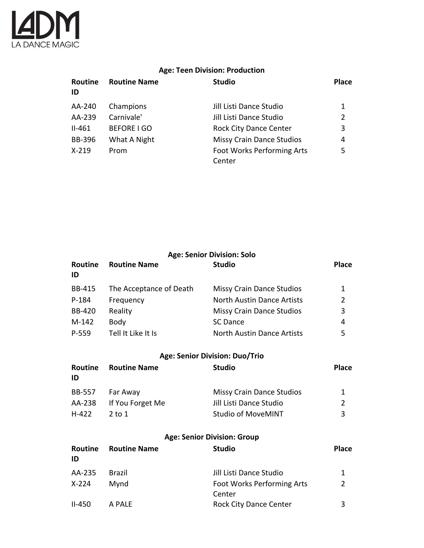

# **Age: Teen Division: Production**

| Routine<br>ID | <b>Routine Name</b> | <b>Studio</b>                     | <b>Place</b> |
|---------------|---------------------|-----------------------------------|--------------|
| AA-240        | Champions           | Jill Listi Dance Studio           | 1            |
| AA-239        | Carnivale'          | Jill Listi Dance Studio           | 2            |
| $II-461$      | <b>BEFORE I GO</b>  | <b>Rock City Dance Center</b>     | 3            |
| <b>BB-396</b> | What A Night        | <b>Missy Crain Dance Studios</b>  | 4            |
| $X-219$       | Prom                | <b>Foot Works Performing Arts</b> | 5            |
|               |                     | Center                            |              |

|                      |                         | <b>Age: Senior Division: Solo</b>    |                |
|----------------------|-------------------------|--------------------------------------|----------------|
| Routine<br>ID        | <b>Routine Name</b>     | <b>Studio</b>                        | <b>Place</b>   |
| <b>BB-415</b>        | The Acceptance of Death | <b>Missy Crain Dance Studios</b>     | 1              |
| P-184                | Frequency               | <b>North Austin Dance Artists</b>    | $\overline{2}$ |
| <b>BB-420</b>        | Reality                 | Missy Crain Dance Studios            | 3              |
| M-142                | Body                    | <b>SC Dance</b>                      | 4              |
| $P-559$              | Tell It Like It Is      | <b>North Austin Dance Artists</b>    | 5              |
|                      |                         | Age: Senior Division: Duo/Trio       |                |
| <b>Routine</b><br>ID | <b>Routine Name</b>     | <b>Studio</b>                        | <b>Place</b>   |
| <b>BB-557</b>        | Far Away                | <b>Missy Crain Dance Studios</b>     | 1              |
| AA-238               | If You Forget Me        | Jill Listi Dance Studio              | $\overline{2}$ |
| $H-422$              | $2$ to $1$              | <b>Studio of MoveMINT</b>            | 3              |
|                      |                         | <b>Age: Senior Division: Group</b>   |                |
| Routine<br>ID        | <b>Routine Name</b>     | <b>Studio</b>                        | <b>Place</b>   |
| AA-235               | <b>Brazil</b>           | Jill Listi Dance Studio              | 1              |
| $X-224$              | Mynd                    | Foot Works Performing Arts<br>Center | $\overline{2}$ |
| $II-450$             | A PALE                  | <b>Rock City Dance Center</b>        | 3              |